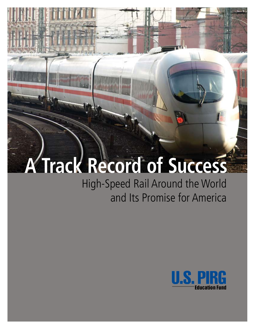# **A Track Record of Success**

## High-Speed Rail Around the World and Its Promise for America

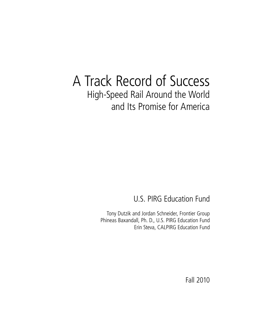## A Track Record of Success High-Speed Rail Around the World and Its Promise for America

U.S. PIRG Education Fund

Tony Dutzik and Jordan Schneider, Frontier Group Phineas Baxandall, Ph. D., U.S. PIRG Education Fund Erin Steva, CALPIRG Education Fund

Fall 2010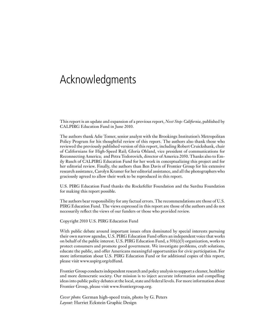## Acknowledgments

This report is an update and expansion of a previous report, *Next Stop: California*, published by CALPIRG Education Fund in June 2010.

The authors thank Adie Tomer, senior analyst with the Brookings Institution's Metropolitan Policy Program for his thoughtful review of this report. The authors also thank those who reviewed the previously published version of this report, including Robert Cruickshank, chair of Californians for High-Speed Rail; Gloria Ohland, vice president of communications for Reconnecting America; and Petra Todorovich, director of America 2050. Thanks also to Emily Rusch of CALPIRG Education Fund for her work in conceptualizing this project and for her editorial review. Finally, the authors than Ben Davis of Frontier Group for his extensive research assistance, Carolyn Kramer for her editorial assistance, and all the photographers who graciously agreed to allow their work to be reproduced in this report.

U.S. PIRG Education Fund thanks the Rockefeller Foundation and the Surdna Foundation for making this report possible.

The authors bear responsibility for any factual errors. The recommendations are those of U.S. PIRG Education Fund. The views expressed in this report are those of the authors and do not necessarily reflect the views of our funders or those who provided review.

Copyright 2010 U.S. PIRG Education Fund

With public debate around important issues often dominated by special interests pursuing their own narrow agendas, U.S. PIRG Education Fund offers an independent voice that works on behalf of the public interest. U.S. PIRG Education Fund, a  $501(c)(3)$  organization, works to protect consumers and promote good government. We investigate problems, craft solutions, educate the public, and offer Americans meaningful opportunities for civic participation. For more information about U.S. PIRG Education Fund or for additional copies of this report, please visit www.uspirg.org/edfund.

Frontier Group conducts independent research and policy analysis to support a cleaner, healthier and more democratic society. Our mission is to inject accurate information and compelling ideas into public policy debates at the local, state and federal levels. For more information about Frontier Group, please visit www.frontiergroup.org.

*Cover photo*: German high-speed train, photo by G. Peters *Layout:* Harriet Eckstein Graphic Design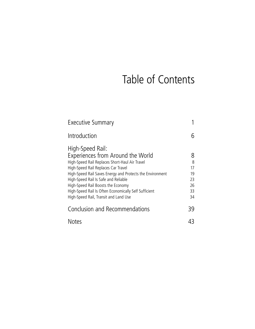## Table of Contents

| <b>Executive Summary</b>                                                                                                                                                                                                                                                                                                                                                                    |                                             |
|---------------------------------------------------------------------------------------------------------------------------------------------------------------------------------------------------------------------------------------------------------------------------------------------------------------------------------------------------------------------------------------------|---------------------------------------------|
| Introduction                                                                                                                                                                                                                                                                                                                                                                                |                                             |
| High-Speed Rail:<br>Experiences from Around the World<br>High-Speed Rail Replaces Short-Haul Air Travel<br>High-Speed Rail Replaces Car Travel<br>High-Speed Rail Saves Energy and Protects the Environment<br>High-Speed Rail Is Safe and Reliable<br>High-Speed Rail Boosts the Economy<br>High-Speed Rail Is Often Economically Self Sufficient<br>High-Speed Rail, Transit and Land Use | 8<br>8<br>17<br>19<br>23.<br>26<br>33<br>34 |
| Conclusion and Recommendations                                                                                                                                                                                                                                                                                                                                                              | 39                                          |
| <b>Notes</b>                                                                                                                                                                                                                                                                                                                                                                                | 43                                          |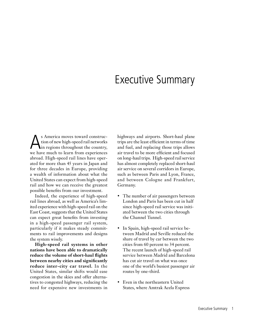## Executive Summary

As America moves toward construc-<br>tion of new high-speed rail networks<br>in regions throughout the country, tion of new high-speed rail networks in regions throughout the country, we have much to learn from experiences abroad. High-speed rail lines have operated for more than 45 years in Japan and for three decades in Europe, providing a wealth of information about what the United States can expect from high-speed rail and how we can receive the greatest possible benefits from our investment.

Indeed, the experience of high-speed rail lines abroad, as well as America's limited experience with high-speed rail on the East Coast, suggests that the United States can expect great benefits from investing in a high-speed passenger rail system, particularly if it makes steady commitments to rail improvements and designs the system wisely.

**High-speed rail systems in other nations have been able to dramatically reduce the volume of short-haul flights between nearby cities and significantly reduce inter-city car travel.** In the United States, similar shifts would ease congestion in the skies and offer alternatives to congested highways, reducing the need for expensive new investments in

highways and airports. Short-haul plane trips are the least efficient in terms of time and fuel, and replacing those trips allows air travel to be more efficient and focused on long-haul trips. High-speed rail service has almost completely replaced short-haul air service on several corridors in Europe, such as between Paris and Lyon, France, and between Cologne and Frankfurt, Germany.

- The number of air passengers between London and Paris has been cut in half since high-speed rail service was initiated between the two cities through the Channel Tunnel.
- In Spain, high-speed rail service between Madrid and Seville reduced the share of travel by car between the two cities from 60 percent to 34 percent. The recent launch of high-speed rail service between Madrid and Barcelona has cut air travel on what was once one of the world's busiest passenger air routes by one-third.
- • Even in the northeastern United States, where Amtrak Acela Express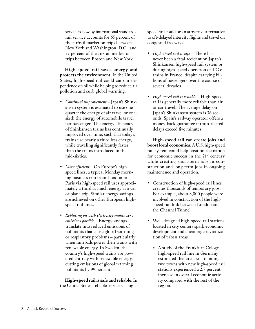service is slow by international standards, rail service accounts for 65 percent of the air/rail market on trips between New York and Washington, D.C., and 52 percent of the air/rail market on trips between Boston and New York.

**High-speed rail saves energy and protects the environment.** In the United States, high-speed rail could cut our dependence on oil while helping to reduce air pollution and curb global warming.

- • *Continual improvement* Japan's Shinkansen system is estimated to use one quarter the energy of air travel or onesixth the energy of automobile travel per passenger. The energy efficiency of Shinkansen trains has continually improved over time, such that today's trains use nearly a third less energy, while traveling significantly faster, than the trains introduced in the mid-sixties.
- • *More efficient* On Europe's highspeed lines, a typical Monday morning business trip from London to Paris via high-speed rail uses approximately a third as much energy as a car or plane trip. Similar energy savings are achieved on other European highspeed rail lines.
- • *Replacing oil with electricity makes zero emissions possible* – Energy savings translate into reduced emissions of pollutants that cause global warming or respiratory problems – particularly when railroads power their trains with renewable energy. In Sweden, the country's high-speed trains are powered entirely with renewable energy, cutting emissions of global warming pollutants by 99 percent.

**High-speed rail is safe and reliable.** In the United States, reliable service via high-

speed rail could be an attractive alternative to oft-delayed intercity flights and travel on congested freeways.

- • *High-speed rail is safe* There has never been a fatal accident on Japan's Shinkansen high-speed rail system or during high-speed operation of TGV trains in France, despite carrying billions of passengers over the course of several decades.
- • *High-speed rail is reliable* High-speed rail is generally more reliable than air or car travel. The average delay on Japan's Shinkansen system is 36 seconds. Spain's railway operator offers a money-back guarantee if train-related delays exceed five minutes.

**High-speed rail can create jobs and boost local economies.** A U.S. high-speed rail system could help position the nation for economic success in the  $21<sup>st</sup>$  century while creating short-term jobs in construction and long-term jobs in ongoing maintenance and operation.

- Construction of high-speed rail lines creates thousands of temporary jobs. For example, about 8,000 people were involved in construction of the highspeed rail link between London and the Channel Tunnel.
- Well-designed high-speed rail stations located in city centers spark economic development and encourage revitalization of urban areas:
	- o A study of the Frankfurt-Cologne high-speed rail line in Germany estimated that areas surrounding two towns with new high-speed rail stations experienced a 2.7 percent increase in overall economic activity compared with the rest of the region.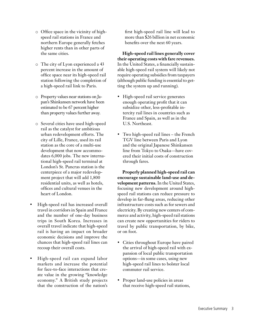- o Office space in the vicinity of highspeed rail stations in France and northern Europe generally fetches higher rents than in other parts of the same cities.
- o The city of Lyon experienced a 43 percent increase in the amount of office space near its high-speed rail station following the completion of a high-speed rail link to Paris.
- o Property values near stations on Japan's Shinkansen network have been estimated to be 67 percent higher than property values further away.
- o Several cities have used high-speed rail as the catalyst for ambitious urban redevelopment efforts. The city of Lille, France, used its rail station as the core of a multi-use development that now accommodates 6,000 jobs. The new international high-speed rail terminal at London's St. Pancras station is the centerpiece of a major redevelopment project that will add 1,800 residential units, as well as hotels, offices and cultural venues in the heart of London.
- High-speed rail has increased overall travel in corridors in Spain and France and the number of one-day business trips in South Korea. Increases in overall travel indicate that high-speed rail is having an impact on broader economic decisions and improve the chances that high-speed rail lines can recoup their overall costs.
- High-speed rail can expand labor markets and increase the potential for face-to-face interactions that create value in the growing "knowledge economy." A British study projects that the construction of the nation's

first high-speed rail line will lead to more than \$26 billion in net economic benefits over the next 60 years.

**High-speed rail lines generally cover their operating costs with fare revenues.**  In the United States, a financially sustainable high-speed rail system will likely not require operating subsidies from taxpayers (although public funding is essential to getting the system up and running).

- High-speed rail service generates enough operating profit that it can subsidize other, less-profitable intercity rail lines in countries such as France and Spain, as well as in the U.S. Northeast.
- • Two high-speed rail lines the French TGV line between Paris and Lyon and the original Japanese Shinkansen line from Tokyo to Osaka—have covered their initial costs of construction through fares.

**Properly planned high-speed rail can encourage sustainable land-use and development patterns.** In the United States, focusing new development around highspeed rail stations can reduce pressure to develop in far-flung areas, reducing other infrastructure costs such as for sewers and electricity. By creating new centers of commerce and activity, high-speed rail stations can create new opportunities for riders to travel by public transportation, by bike, or on foot.

- • Cities throughout Europe have paired the arrival of high-speed rail with expansion of local public transportation options—in some cases, using new high-speed rail lines to bolster local commuter rail service.
- Proper land-use policies in areas that receive high-speed rail stations,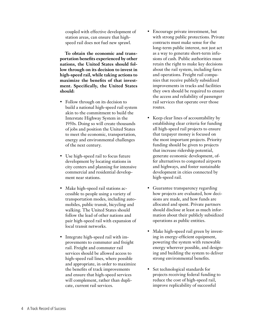coupled with effective development of station areas, can ensure that highspeed rail does not fuel new sprawl.

**To obtain the economic and transportation benefits experienced by other nations, the United States should follow through on its decision to invest in high-speed rail, while taking actions to maximize the benefits of that investment. Specifically, the United States should:**

- Follow through on its decision to build a national high-speed rail system akin to the commitment to build the Interstate Highway System in the 1950s. Doing so will create thousands of jobs and position the United States to meet the economic, transportation, energy and environmental challenges of the next century.
- Use high-speed rail to focus future development by locating stations in city centers and planning for intensive commercial and residential development near stations.
- Make high-speed rail stations accessible to people using a variety of transportation modes, including automobiles, public transit, bicycling and walking. The United States should follow the lead of other nations and pair high-speed rail with expansion of local transit networks.
- Integrate high-speed rail with improvements to commuter and freight rail. Freight and commuter rail services should be allowed access to high-speed rail lines, where possible and appropriate, in order to maximize the benefits of track improvements and ensure that high-speed services will complement, rather than duplicate, current rail services.
- Encourage private investment, but with strong public protections. Private contracts must make sense for the long-term public interest, not just act as a way to generate short-term infusions of cash. Public authorities must retain the right to make key decisions about the rail system, including fares and operations. Freight rail companies that receive publicly subsidized improvements in tracks and facilities they own should be required to ensure the access and reliability of passenger rail services that operate over those routes.
- Keep clear lines of accountability by establishing clear criteria for funding all high-speed rail projects to ensure that taxpayer money is focused on the most important projects. Priority funding should be given to projects that increase ridership potential, generate economic development, offer alternatives to congested airports and highways, and foster sustainable development in cities connected by high-speed rail.
- Guarantee transparency regarding how projects are evaluated, how decisions are made, and how funds are allocated and spent. Private partners should disclose at least as much information about their publicly subsidized operations as public entities.
- Make high-speed rail green by investing in energy-efficient equipment, powering the system with renewable energy wherever possible, and designing and building the system to deliver strong environmental benefits.
- Set technological standards for projects receiving federal funding to reduce the cost of high-speed rail, improve replicability of successful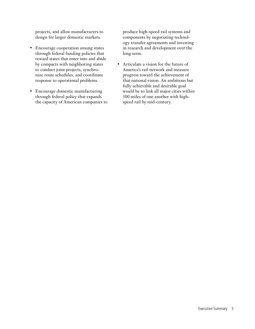projects, and allow manufacturers to design for larger domestic markets.

- • Encourage cooperation among states through federal funding policies that reward states that enter into and abide by compacts with neighboring states to conduct joint projects, synchronize route schedules, and coordinate response to operational problems.
- • Encourage domestic manufacturing through federal policy that expands the capacity of American companies to

produce high-speed rail systems and components by negotiating technology transfer agreements and investing in research and development over the long term.

• Articulate a vision for the future of America's rail network and measure progress toward the achievement of that national vision. An ambitious but fully achievable and desirable goal would be to link all major cities within 500 miles of one another with highspeed rail by mid-century.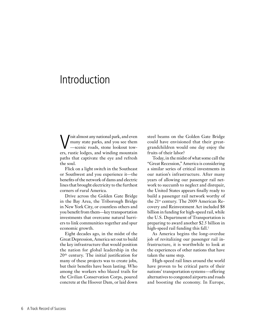## Introduction

Visit almost any national park, and even<br>
many state parks, and you see them<br>
Scenic roads, stone lookout tow-<br>
executive lookes, and winding mountain many state parks, and you see them —scenic roads, stone lookout towers, rustic lodges, and winding mountain paths that captivate the eye and refresh the soul.

Flick on a light switch in the Southeast or Southwest and you experience it—the benefits of the network of dams and electric lines that brought electricity to the furthest corners of rural America.

Drive across the Golden Gate Bridge in the Bay Area, the Triborough Bridge in New York City, or countless others and you benefit from them—key transportation investments that overcame natural barriers to link communities together and spur economic growth.

Eight decades ago, in the midst of the Great Depression, America set out to build the key infrastructure that would position the nation for global leadership in the 20th century. The initial justification for many of these projects was to create jobs, but their benefits have been lasting. Who among the workers who blazed trails for the Civilian Conservation Corps, poured concrete at the Hoover Dam, or laid down steel beams on the Golden Gate Bridge could have envisioned that their greatgrandchildren would one day enjoy the fruits of their labor?

Today, in the midst of what some call the "Great Recession," America is considering a similar series of critical investments in our nation's infrastructure. After many years of allowing our passenger rail network to succumb to neglect and disrepair, the United States appears finally ready to build a passenger rail network worthy of the 21st century. The 2009 American Recovery and Reinvestment Act included \$8 billion in funding for high-speed rail, while the U.S. Department of Transportation is preparing to award another \$2.5 billion in high-speed rail funding this fall.<sup>1</sup>

As America begins the long-overdue job of revitalizing our passenger rail infrastructure, it is worthwhile to look at the experiences of other nations that have taken the same step.

High-speed rail lines around the world have proven to be critical parts of their nations' transportation systems—offering alternatives to congested airports and roads and boosting the economy. In Europe,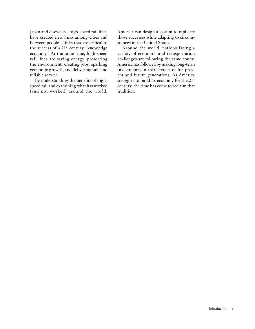Japan and elsewhere, high-speed rail lines have created new links among cities and between people—links that are critical to the success of a 21st century "knowledge economy." At the same time, high-speed rail lines are saving energy, protecting the environment, creating jobs, sparking economic growth, and delivering safe and reliable service.

By understanding the benefits of highspeed rail and examining what has worked (and not worked) around the world,

America can design a system to replicate those successes while adapting to circumstances in the United States.

Around the world, nations facing a variety of economic and transportation challenges are following the same course America has followed by making long-term investments in infrastructure for present and future generations. As America struggles to build its economy for the 21<sup>st</sup> century, the time has come to reclaim that tradition.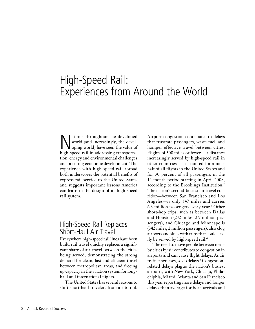## High-Speed Rail: Experiences from Around the World

Nations throughout the developed<br>world (and increasingly, the devel-<br>oping world) have seen the value of<br>high creed rail in addressing transports world (and increasingly, the developing world) have seen the value of high-speed rail in addressing transportation, energy and environmental challenges and boosting economic development. The experience with high-speed rail abroad both underscores the potential benefits of express rail service to the United States and suggests important lessons America can learn in the design of its high-speed rail system.

### High-Speed Rail Replaces Short-Haul Air Travel

Everywhere high-speed rail lines have been built, rail travel quickly replaces a significant share of air travel between the cities being served, demonstrating the strong demand for clean, fast and efficient travel between metropolitan areas, and freeing up capacity in the aviation system for longhaul and international flights.

The United States has several reasons to shift short-haul travelers from air to rail. Airport congestion contributes to delays that frustrate passengers, waste fuel, and hamper effective travel between cities. Flights of 500 miles or fewer— a distance increasingly served by high-speed rail in other countries — accounted for almost half of all flights in the United States and for 30 percent of all passengers in the 12-month period starting in April 2008, according to the Brookings Institution.2 The nation's second-busiest air travel corridor—between San Francisco and Los Angeles—is only 347 miles and carries 6.3 million passengers every year.3 Other short-hop trips, such as between Dallas and Houston (232 miles; 2.9 million passengers), and Chicago and Minneapolis (342 miles; 2 million passengers), also clog airports and skies with trips that could easily be served by high-speed rail. 4

The need to move people between nearby cities by air contributes to congestion in airports and can cause flight delays. As air traffic increases, so do delays.<sup>5</sup> Congestionrelated delays plague the nation's busiest airports, with New York, Chicago, Philadelphia, Miami, Atlanta and San Francisco this year reporting more delays and longer delays than average for both arrivals and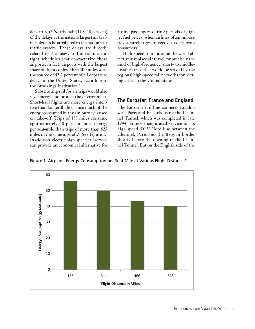departures.6 Nearly half (45.8-48 percent) of the delays at the nation's largest air traffic hubs can be attributed to the nation's air traffic system. These delays are directly related to the heavy traffic volume and tight schedules that characterize these airports; in fact, airports with the largest share of flights of less than 500 miles were the source of 42.2 percent of all departure delays in the United States, according to the Brookings Institution. 7

Substituting rail for air trips would also save energy and protect the environment. Short-haul flights are more energy intensive than longer flights, since much of the energy consumed in any air journey is used on take-off. Trips of 155 miles consume approximately 40 percent more energy per seat-mile than trips of more than 625 miles in the same aircraft.<sup>8</sup> (See Figure 1.) In addition, electric high-speed rail service can provide an economical alternative for

airline passengers during periods of high jet fuel prices, when airlines often impose ticket surcharges to recover costs from consumers.

High-speed trains around the world effectively replace air travel for precisely the kind of high-frequency, short- to middledistance trips that would be served by the regional high-speed rail networks connecting cities in the United States.

### **The Eurostar: France and England**

The Eurostar rail line connects London with Paris and Brussels using the Channel Tunnel, which was completed in late 1994. France inaugurated service on its high-speed TGV-Nord line between the Channel, Paris and the Belgian border shortly before the opening of the Channel Tunnel. But on the English side of the

Figure 1. Airplane Energy Consumption per Seat Mile at Various Flight Distances<sup>9</sup>

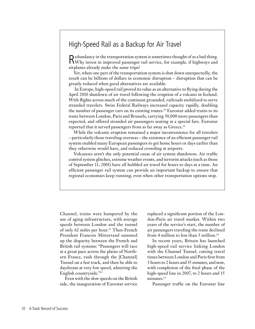### High-Speed Rail as a Backup for Air Travel

Redundancy in the transportation system is sometimes thought of as a bad thing. Why invest in improved passenger rail service, for example, if highways and airplanes already make the same trips?

Yet, when one part of the transportation system is shut down unexpectedly, the result can be billions of dollars in economic disruption – disruption that can be greatly reduced when good alternatives are available.

 In Europe, high-speed rail proved its value as an alternative to flying during the April 2010 shutdown of air travel following the eruption of a volcano in Iceland. With flights across much of the continent grounded, railroads mobilized to serve stranded travelers. Swiss Federal Railways increased capacity rapidly, doubling the number of passenger cars on its existing routes.10 Eurostar added trains to its route between London, Paris and Brussels, carrying 50,000 more passengers than expected, and offered stranded air passengers seating at a special fare. Eurostar reported that it served passengers from as far away as Greece.<sup>11</sup>

While the volcanic eruption remained a major inconvenience for all travelers – particularly those traveling overseas – the existence of an efficient passenger rail system enabled many European passengers to get home hours or days earlier than they otherwise would have, and reduced crowding at airports.

Volcanoes aren't the only potential cause of air system shutdowns. Air traffic control system glitches, extreme weather events, and terrorist attacks (such as those of September 11, 2001) have all hobbled air travel for hours to days at a time. An efficient passenger rail system can provide an important backup to ensure that regional economies keep running, even when other transportation options stop.

Channel, trains were hampered by the use of aging infrastructure, with average speeds between London and the tunnel of only 62 miles per hour.12 Then-French President Francois Mitterrand summed up the disparity between the French and British rail systems: "Passengers will race at a great pace across the plains of Northern France, rush through the [Channel] Tunnel on a fast track, and then be able to daydream at very low speed, admiring the English countryside."13

Even with the slow speeds on the British side, the inauguration of Eurostar service

replaced a significant portion of the London-Paris air travel market. Within two years of the service's start, the number of air passengers traveling the route declined from 4 million to less than 3 million.14

In recent years, Britain has launched high-speed rail service linking London with the Channel Tunnel, cutting travel times between London and Paris first from 3 hours to 2 hours and 35 minutes, and now, with completion of the final phase of the high-speed line in 2007, to 2 hours and 15 minutes.<sup>15</sup>

Passenger traffic on the Eurostar line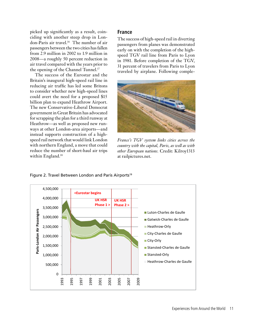picked up significantly as a result, coinciding with another steep drop in London-Paris air travel.16 The number of air passengers between the two cities has fallen from 2.9 million in 2002 to 1.9 million in 2008—a roughly 50 percent reduction in air travel compared with the years prior to the opening of the Channel Tunnel.<sup>17</sup>

The success of the Eurostar and the Britain's inaugural high-speed rail line in reducing air traffic has led some Britons to consider whether new high-speed lines could avert the need for a proposed \$15 billion plan to expand Heathrow Airport. The new Conservative-Liberal Democrat government in Great Britain has advocated for scrapping the plan for a third runway at Heathrow—as well as proposed new runways at other London-area airports—and instead supports construction of a highspeed rail network that would link London with northern England, a move that could reduce the number of short-haul air trips within England.<sup>18</sup>

### **France**

The success of high-speed rail in diverting passengers from planes was demonstrated early on with the completion of the highspeed TGV rail line from Paris to Lyon in 1981. Before completion of the TGV, 31 percent of travelers from Paris to Lyon traveled by airplane. Following comple-



*France's TGV system links cities across the country with the capital, Paris, as well as with other European nations.* Credit: Kilroy1313 at railpictures.net.



### Figure 2. Travel Between London and Paris Airports<sup>19</sup>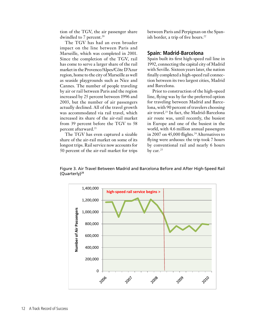tion of the TGV, the air passenger share dwindled to 7 percent.<sup>20</sup>

The TGV has had an even broader impact on the line between Paris and Marseille, which was completed in 2001. Since the completion of the TGV, rail has come to serve a larger share of the rail market in the Provence/Alpes/Côte D'Azur region, home to the city of Marseille as well as seaside playgrounds such as Nice and Cannes. The number of people traveling by air or rail between Paris and the region increased by 25 percent between 1996 and 2003, but the number of air passengers actually declined. All of the travel growth was accommodated via rail travel, which increased its share of the air-rail market from 39 percent before the TGV to 58 percent afterward.21

The TGV has even captured a sizable share of the air-rail market on some of its longest trips. Rail service now accounts for 50 percent of the air-rail market for trips

between Paris and Perpignan on the Spanish border, a trip of five hours.<sup>22</sup>

### **Spain: Madrid-Barcelona**

Spain built its first high-speed rail line in 1992, connecting the capital city of Madrid with Seville. Sixteen years later, the nation finally completed a high-speed rail connection between its two largest cities, Madrid and Barcelona.

Prior to construction of the high-speed line, flying was by far the preferred option for traveling between Madrid and Barcelona, with 90 percent of travelers choosing air travel.23 In fact, the Madrid-Barcelona air route was, until recently, the busiest in Europe and one of the busiest in the world, with 4.6 million annual passengers in 2007 on 45,000 flights.<sup>24</sup> Alternatives to flying were arduous: the trip took 7 hours by conventional rail and nearly 6 hours by car.<sup>25</sup>



Figure 3. Air Travel Between Madrid and Barcelona Before and After High-Speed Rail (Quarterly)28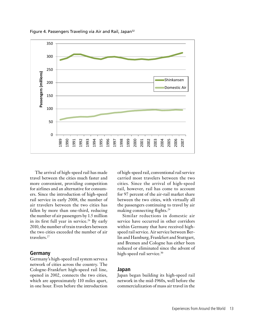

Figure 4. Passengers Traveling via Air and Rail, Japan<sup>32</sup>

The arrival of high-speed rail has made travel between the cities much faster and more convenient, providing competition for airlines and an alternative for consumers. Since the introduction of high-speed rail service in early 2008, the number of air travelers between the two cities has fallen by more than one-third, reducing the number of air passengers by 1.5 million in its first full year in service.<sup>26</sup> By early 2010, the number of train travelers between the two cities exceeded the number of air travelers.27

### **Germany**

Germany's high-speed rail system serves a network of cities across the country. The Cologne-Frankfurt high-speed rail line, opened in 2002, connects the two cities, which are approximately 110 miles apart, in one hour. Even before the introduction of high-speed rail, conventional rail service carried most travelers between the two cities. Since the arrival of high-speed rail, however, rail has come to account for 97 percent of the air-rail market share between the two cities, with virtually all the passengers continuing to travel by air making connecting flights.<sup>29</sup>

Similar reductions in domestic air service have occurred in other corridors within Germany that have received highspeed rail service. Air service between Berlin and Hamburg, Frankfurt and Stuttgart, and Bremen and Cologne has either been reduced or eliminated since the advent of high-speed rail service. 30

#### **Japan**

Japan began building its high-speed rail network in the mid-1960s, well before the commercialization of mass air travel in the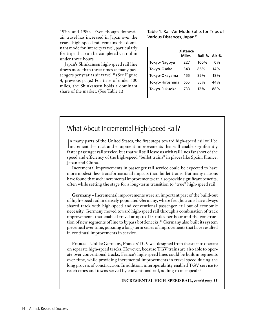1970s and 1980s. Even though domestic air travel has increased in Japan over the years, high-speed rail remains the dominant mode for intercity travel, particularly for trips that can be completed via rail in under three hours.

Japan's Shinkansen high-speed rail line draws more than three times as many passengers per year as air travel.<sup>31</sup> (See Figure 4, previous page.) For trips of under 500 miles, the Shinkansen holds a dominant share of the market. (See Table 1.)

Table 1. Rail-Air Mode Splits for Trips of Various Distances, Japan<sup>33</sup>

|                 | <b>Distance</b><br>Miles | Rail % Air % |     |
|-----------------|--------------------------|--------------|-----|
| Tokyo-Nagoya    | 227                      | 100%         | 0%  |
| Tokyo-Osaka     | 343                      | 86%          | 14% |
| Tokyo-Okayama   | 455                      | 82%          | 18% |
| Tokyo-Hiroshima | 555                      | 56%          | 44% |
| Tokyo-Fukuoka   | 733                      | 12%          | 88% |
|                 |                          |              |     |

### What About Incremental High-Speed Rail?

In many parts of the United States, the first steps toward high-speed rail will be incremental—track and equipment improvements that will enable significantly n many parts of the United States, the first steps toward high-speed rail will be faster passenger rail service, but that will still leave us with rail lines far short of the speed and efficiency of the high-speed "bullet trains" in places like Spain, France, Japan and China.

Incremental improvements in passenger rail service could be expected to have more modest, less transformational impacts than bullet trains. But many nations have found that such incremental improvements can also provide significant benefits, often while setting the stage for a long-term transition to "true" high-speed rail.

**Germany** – Incremental improvements were an important part of the build-out of high-speed rail in densely populated Germany, where freight trains have always shared track with high-speed and conventional passenger rail out of economic necessity. Germany moved toward high-speed rail through a combination of track improvements that enabled travel at up to 125 miles per hour and the construction of new segments of line to bypass bottlenecks.34 Germany also built its system piecemeal over time, pursuing a long-term series of improvements that have resulted in continual improvements in service.

**France** – Unlike Germany, France's TGV was designed from the start to operate on separate high-speed tracks. However, because TGV trains are also able to operate over conventional tracks, France's high-speed lines could be built in segments over time, while providing incremental improvements in travel speed during the long process of construction. In addition, interoperability enabled TGV service to reach cities and towns served by conventional rail, adding to its appeal.<sup>35</sup>

#### **Incremental High-Speed Rail***, cont'd page 15*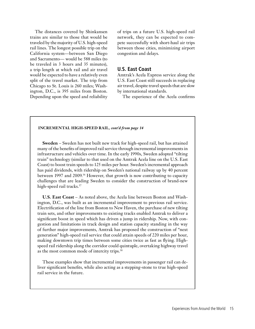The distances covered by Shinkansen trains are similar to those that would be traveled by the majority of U.S. high-speed rail lines. The longest possible trip on the California system—between San Diego and Sacramento— would be 588 miles (to be traveled in 3 hours and 35 minutes), a trip length at which rail and air travel would be expected to have a relatively even split of the travel market. The trip from Chicago to St. Louis is 260 miles; Washington, D.C., is 395 miles from Boston. Depending upon the speed and reliability

of trips on a future U.S. high-speed rail network, they can be expected to compete successfully with short-haul air trips between those cities, minimizing airport congestion and delays.

### **U.S. East Coast**

Amtrak's Acela Express service along the U.S. East Coast still succeeds in replacing air travel, despite travel speeds that are slow by international standards.

The experience of the Acela confirms

#### **Incremental High-Speed Rail***, cont'd from page 14*

**Sweden** – Sweden has not built new track for high-speed rail, but has attained many of the benefits of improved rail service through incremental improvements in infrastructure and vehicles over time. In the early 1990s, Sweden adopted "tilting train" technology (similar to that used on the Amtrak Acela line on the U.S. East Coast) to boost train speeds to 125 miles per hour. Sweden's incremental approach has paid dividends, with ridership on Sweden's national railway up by 40 percent between 1997 and 2009.<sup>36</sup> However, that growth is now contributing to capacity challenges that are leading Sweden to consider the construction of brand-new high-speed rail tracks.<sup>37</sup>

**U.S. East Coast** – As noted above, the Acela line between Boston and Washington, D.C., was built as an incremental improvement to previous rail service. Electrification of the line from Boston to New Haven, the purchase of new tilting train sets, and other improvements to existing tracks enabled Amtrak to deliver a significant boost in speed which has driven a jump in ridership. Now, with congestion and limitations in track design and station capacity standing in the way of further major improvements, Amtrak has proposed the construction of "next generation" high-speed rail service that could attain speeds of 220 miles per hour, making downtown trip times between some cities twice as fast as flying. Highspeed rail ridership along the corridor could quintuple, overtaking highway travel as the most common mode of intercity trips.<sup>38</sup>

These examples show that incremental improvements in passenger rail can deliver significant benefits, while also acting as a stepping-stone to true high-speed rail service in the future.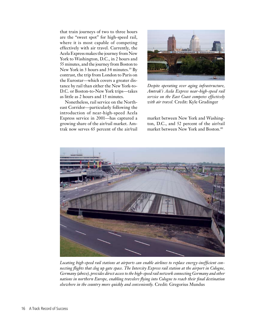that train journeys of two to three hours are the "sweet spot" for high-speed rail, where it is most capable of competing effectively with air travel. Currently, the Acela Express makes the journey from New York to Washington, D.C., in 2 hours and 55 minutes, and the journey from Boston to New York in 3 hours and 34 minutes.<sup>39</sup> By contrast, the trip from London to Paris on the Eurostar—which covers a greater distance by rail than either the New York-to-D.C. or Boston-to-New York trips—takes as little as 2 hours and 15 minutes.

Nonetheless, rail service on the Northeast Corridor—particularly following the introduction of near-high-speed Acela Express service in 2001—has captured a growing share of the air/rail market. Amtrak now serves 65 percent of the air/rail



*Despite operating over aging infrastructure, Amtrak's Acela Express near-high-speed rail service on the East Coast competes effectively with air travel.* Credit: Kyle Gradinger

market between New York and Washington, D.C., and 52 percent of the air/rail market between New York and Boston.40



*Locating high-speed rail stations at airports can enable airlines to replace energy-inefficient connecting flights that clog up gate space. The Intercity Express rail station at the airport in Cologne, Germany (above), provides direct access to the high-speed rail network connecting Germany and other nations in northern Europe, enabling travelers flying into Cologne to reach their final destination elsewhere in the country more quickly and conveniently.* Credit: Gregorius Mundus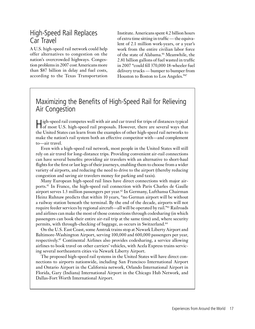### High-Speed Rail Replaces Car Travel

A U.S. high-speed rail network could help offer alternatives to congestion on the nation's overcrowded highways. Congestion problems in 2007 cost Americans more than \$87 billion in delay and fuel costs, according to the Texas Transportation

Institute. Americans spent 4.2 billion hours of extra time sitting in traffic — the equivalent of 2.1 million work-years, or a year's work from the entire civilian labor force of the state of Alabama.<sup>46</sup> Meanwhile, the 2.81 billion gallons of fuel wasted in traffic in 2007 "could fill 370,000 18-wheeler fuel delivery trucks — bumper to bumper from Houston to Boston to Los Angeles."47

### Maximizing the Benefits of High-Speed Rail for Relieving Air Congestion

High-speed rail competes well with air and car travel for trips of distances typical of most U.S. high-speed rail proposals. However, there are several ways that the United States can learn from the examples of other high-speed rail networks to make the nation's rail system both an effective competitor with—and complement to—air travel.

Even with a high-speed rail network, most people in the United States will still rely on air travel for long-distance trips. Providing convenient air-rail connections can have several benefits: providing air travelers with an alternative to short-haul flights for the first or last legs of their journeys, enabling them to choose from a wider variety of airports, and reducing the need to drive to the airport (thereby reducing congestion and saving air travelers money for parking and taxis).

Many European high-speed rail lines have direct connections with major airports.41 In France, the high-speed rail connection with Paris Charles de Gaulle airport serves 1.3 million passengers per year.<sup>42</sup> In Germany, Lufthansa Chairman Heinz Ruhnaw predicts that within 10 years, "no German airport will be without a railway station beneath the terminal. By the end of the decade, airports will not require feeder services by regional aircraft—all will be operated by rail."43 Railroads and airlines can make the most of those connections through codesharing (in which passengers can book their entire air-rail trip at the same time) and, where security permits, with through-checking of baggage, as occurs in Switzerland.44

On the U.S. East Coast, some Amtrak trains stop at Newark Liberty Airport and Baltimore-Washington Airport, serving 100,000 and 600,000 passengers per year, respectively.45 Continental Airlines also provides codesharing, a service allowing airlines to book travel on other carriers' vehicles, with Acela Express trains servicing several northeastern cities via Newark Liberty Airport.

The proposed high-speed rail systems in the United States will have direct connections to airports nationwide, including San Francisco International Airport and Ontario Airport in the California network, Orlando International Airport in Florida, Gary (Indiana) International Airport in the Chicago Hub Network, and Dallas-Fort Worth International Airport.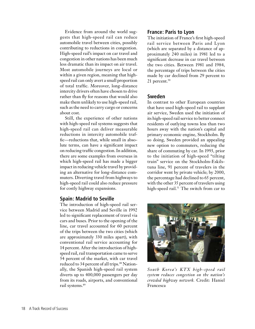Evidence from around the world suggests that high-speed rail can reduce automobile travel between cities, possibly contributing to reductions in congestion. High-speed rail's impact on car travel and congestion in other nations has been much less dramatic than its impact on air travel. Most automobile journeys are local or within a given region, meaning that highspeed rail can only avert a small proportion of total traffic. Moreover, long-distance intercity drivers often have chosen to drive rather than fly for reasons that would also make them unlikely to use high-speed rail, such as the need to carry cargo or concerns about cost.

Still, the experience of other nations with high-speed rail systems suggests that high-speed rail can deliver measurable reductions in intercity automobile traffic—reductions that, while small in absolute terms, can have a significant impact on reducing traffic congestion. In addition, there are some examples from overseas in which high-speed rail has made a bigger impact in reducing vehicle travel by providing an alternative for long-distance commuters. Diverting travel from highways to high-speed rail could also reduce pressure for costly highway expansions.

### **Spain: Madrid to Seville**

The introduction of high-speed rail service between Madrid and Seville in 1992 led to significant replacement of travel via cars and buses. Prior to the opening of the line, car travel accounted for 60 percent of the trips between the two cities (which are approximately 330 miles apart), with conventional rail service accounting for 14 percent. After the introduction of highspeed rail, rail transportation came to serve 54 percent of the market, with car travel reduced to 34 percent of all trips.<sup>48</sup> Nationally, the Spanish high-speed rail system diverts up to 400,000 passengers per day from its roads, airports, and conventional rail systems.<sup>49</sup>

### **France: Paris to Lyon**

The initiation of France's first high-speed rail service between Paris and Lyon (which are separated by a distance of approximately 240 miles) in 1981 led to a significant decrease in car travel between the two cities. Between 1981 and 1984, the percentage of trips between the cities made by car declined from 29 percent to 21 percent. $50$ 

#### **Sweden**

In contrast to other European countries that have used high-speed rail to supplant air service, Sweden used the initiation of its high-speed rail service to better connect residents of outlying towns less than two hours away with the nation's capital and primary economic engine, Stockholm. By so doing, Sweden provided an appealing new option to commuters, reducing the share of commuting by car. In 1993, prior to the initiation of high-speed "tilting train" service on the Stockholm-Eskilstuna line, 91 percent of travelers in the corridor went by private vehicle; by 2000, the percentage had declined to 65 percent, with the other 35 percent of travelers using high-speed rail.<sup>51</sup> The switch from car to



South Korea's KTX high-speed rail *system reduces congestion on the nation's crowded highway network.* Credit: Haniel Francesca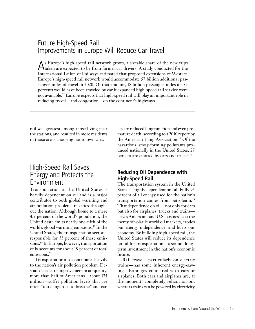### Future High-Speed Rail Improvements in Europe Will Reduce Car Travel

As Europe's high-speed rail network grows, a sizeable share of the new trips taken are expected to be from former car drivers. A study conducted for the International Union of Railways estimated that proposed extensions of Western Europe's high-speed rail network would accommodate 57 billion additional passenger-miles of travel in 2020. Of that amount, 18 billion passenger-miles (or 32 percent) would have been traveled by car if expanded high-speed rail service were not available.52 Europe expects that high-speed rail will play an important role in reducing travel—and congestion—on the continent's highways.

rail was greatest among those living near the stations, and resulted in more residents in those areas choosing not to own cars.

### High-Speed Rail Saves Energy and Protects the Environment

Transportation in the United States is heavily dependent on oil and is a major contributor to both global warming and air pollution problems in cities throughout the nation. Although home to a mere 4.5 percent of the world's population, the United State emits nearly one-fifth of the world's global warming emissions.<sup>53</sup> In the United States, the transportation sector is responsible for 33 percent of these emissions.<sup>54</sup> In Europe, however, transportation only accounts for about 19 percent of total emissions.<sup>55</sup>

Transportation also contributes heavily to the nation's air pollution problem. Despite decades of improvement in air quality, more than half of Americans—about 175 million—suffer pollution levels that are often "too dangerous to breathe" and can

lead to reduced lung function and even premature death, according to a 2010 report by the American Lung Association.<sup>56</sup> Of the hazardous, smog-forming pollutants produced nationally in the United States, 27 percent are emitted by cars and trucks.<sup>57</sup>

### **Reducing Oil Dependence with High-Speed Rail**

The transportation system in the United States is highly dependent on oil. Fully 95 percent of all energy used for the nation's transportation comes from petroleum.58 That dependence on oil—not only for cars but also for airplanes, trucks and trains leaves Americans and U.S. businesses at the mercy of volatile world oil markets, erodes our energy independence, and hurts our economy. By building high-speed rail, the United States will reduce its dependence on oil for transportation—a sound, longterm investment in the nation's economic future.

Rail travel—particularly on electric trains—has some inherent energy-saving advantages compared with cars or airplanes. Both cars and airplanes are, at the moment, completely reliant on oil, whereas trains can be powered by electricity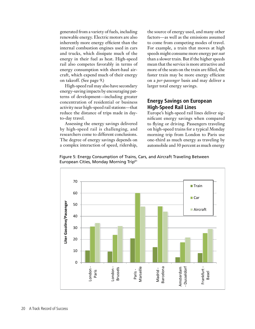generated from a variety of fuels, including renewable energy. Electric motors are also inherently more energy efficient than the internal combustion engines used in cars and trucks, which dissipate much of the energy in their fuel as heat. High-speed rail also competes favorably in terms of energy consumption with short-haul aircraft, which expend much of their energy on takeoff. (See page 9.)

High-speed rail may also have secondary energy-saving impacts by encouraging patterns of development—including greater concentration of residential or business activity near high-speed rail stations—that reduce the distance of trips made in dayto-day travel.

Assessing the energy savings delivered by high-speed rail is challenging, and researchers come to different conclusions. The degree of energy savings depends on a complex interaction of speed, ridership,

the source of energy used, and many other factors—as well as the emissions assumed to come from competing modes of travel. For example, a train that moves at high speeds might consume more energy per *seat* than a slower train. But if the higher speeds mean that the service is more attractive and more of the seats on the train are filled, the faster train may be more energy efficient on a *per-passenger* basis and may deliver a larger total energy savings.

### **Energy Savings on European High-Speed Rail Lines**

Europe's high-speed rail lines deliver significant energy savings when compared to flying or driving. Passengers traveling on high-speed trains for a typical Monday morning trip from London to Paris use one-third as much energy as traveling by automobile and 30 percent as much energy



Figure 5: Energy Consumption of Trains, Cars, and Aircraft Traveling Between European Cities, Monday Morning Trip61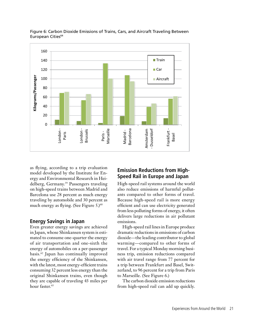

Figure 6: Carbon Dioxide Emissions of Trains, Cars, and Aircraft Traveling Between European Cities<sup>64</sup>

as flying, according to a trip evaluation model developed by the Institute for Energy and Environmental Research in Heidelberg, Germany.59 Passengers traveling on high-speed trains between Madrid and Barcelona use 28 percent as much energy traveling by automobile and 30 percent as much energy as flying. (See Figure 5.)<sup>60</sup>

### **Energy Savings in Japan**

Even greater energy savings are achieved in Japan, whose Shinkansen system is estimated to consume one-quarter the energy of air transportation and one-sixth the energy of automobiles on a per-passenger basis.62 Japan has continually improved the energy efficiency of the Shinkansen, with the latest, most energy-efficient trains consuming 32 percent less energy than the original Shinkansen trains, even though they are capable of traveling 43 miles per hour faster.<sup>63</sup>

### **Emission Reductions from High-Speed Rail in Europe and Japan**

High-speed rail systems around the world also reduce emissions of harmful pollutants compared to other forms of travel. Because high-speed rail is more energy efficient and can use electricity generated from less polluting forms of energy, it often delivers large reductions in air pollutant emissions.

High-speed rail lines in Europe produce dramatic reductions in emissions of carbon dioxide—the leading contributor to global warming—compared to other forms of travel. For a typical Monday morning business trip, emission reductions compared with air travel range from 77 percent for a trip between Frankfurt and Basel, Switzerland, to 96 percent for a trip from Paris to Marseille. (See Figure 6.)

The carbon dioxide emission reductions from high-speed rail can add up quickly.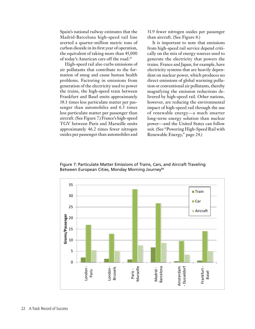Spain's national railway estimates that the Madrid-Barcelona high-speed rail line averted a quarter-million metric tons of carbon dioxide in its first year of operation, the equivalent of taking more than 45,000 of today's American cars off the road.<sup>65</sup>

High-speed rail also curbs emissions of air pollutants that contribute to the formation of smog and cause human health problems. Factoring in emissions from generation of the electricity used to power the trains, the high-speed train between Frankfurt and Basel emits approximately 18.1 times less particulate matter per passenger than automobiles and 6.5 times less particulate matter per passenger than aircraft. (See Figure 7.) France's high-speed TGV between Paris and Marseille emits approximately 46.2 times fewer nitrogen oxides per passenger than automobiles and

31.9 fewer nitrogen oxides per passenger than aircraft. (See Figure 8.)

It is important to note that emissions from high-speed rail service depend critically on the mix of energy sources used to generate the electricity that powers the trains. France and Japan, for example, have electricity systems that are heavily dependent on nuclear power, which produces no direct emissions of global warming pollution or conventional air pollutants, thereby magnifying the emission reductions delivered by high-speed rail. Other nations, however, are reducing the environmental impact of high-speed rail through the use of renewable energy—a much smarter long-term energy solution than nuclear power—and the United States can follow suit. (See "Powering High-Speed Rail with Renewable Energy," page 24.)

Figure 7: Particulate Matter Emissions of Trains, Cars, and Aircraft Traveling Between European Cities, Monday Morning Journey<sup>66</sup>

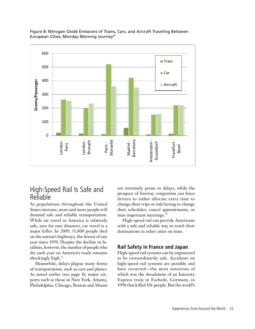

### Figure 8: Nitrogen Oxide Emissions of Trains, Cars, and Aircraft Traveling Between European Cities, Monday Morning Journey<sup>67</sup>

### High-Speed Rail Is Safe and Reliable

As populations throughout the United States increase, more and more people will demand safe and reliable transportation. While air travel in America is relatively safe, save for rare disasters, car travel is a major killer. In 2009, 33,808 people died on the nation's highways, the fewest of any year since 1950. Despite the decline in fatalities, however, the number of people who die each year on America's roads remains shockingly high.<sup>73</sup>

Meanwhile, delays plague many forms of transportation, such as cars and planes. As noted earlier (see page 8), major airports such as those in New York, Atlanta, Philadelphia, Chicago, Boston and Miami are extremely prone to delays, while the prospect of freeway congestion can force drivers to either allocate extra time to change their trips or risk having to change their schedules, cancel appointments, or miss important meetings.<sup>74</sup>

High-speed rail can provide Americans with a safe and reliable way to reach their destinations in other cities on time.

### **Rail Safety in France and Japan**

High-speed rail systems can be engineered to be extraordinarily safe. Accidents on high-speed rail systems are possible and have occurred—the most notorious of which was the derailment of an Intercity Express train in Eschede, Germany, in 1998 that killed 101 people. But the world's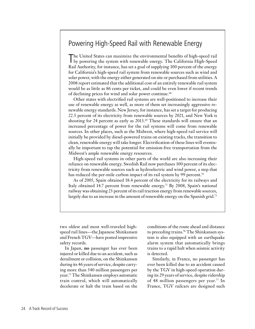### Powering High-Speed Rail with Renewable Energy

T by powering the system with renewable energy. The California High-Speed he United States can maximize the environmental benefits of high-speed rail Rail Authority, for instance, has set a goal of supplying 100 percent of the energy for California's high-speed rail system from renewable sources such as wind and solar power, with the energy either generated on site or purchased from utilities. A 2008 report estimated that the additional cost of an entirely renewable rail system would be as little as 86 cents per ticket, and could be even lower if recent trends of declining prices for wind and solar power continue.<sup>68</sup>

Other states with electrified rail systems are well-positioned to increase their use of renewable energy as well, as more of them set increasingly aggressive renewable energy standards. New Jersey, for instance, has set a target for producing 22.5 percent of its electricity from renewable sources by 2021, and New York is shooting for 24 percent as early as 2013.<sup>69</sup> These standards will ensure that an increased percentage of power for the rail systems will come from renewable sources. In other places, such as the Midwest, where high-speed rail service will initially be provided by diesel-powered trains on existing tracks, the transition to clean, renewable energy will take longer. Electrification of these lines will eventually be important to tap the potential for emission-free transportation from the Midwest's ample renewable energy resources.

High-speed rail systems in other parts of the world are also increasing their reliance on renewable energy. Swedish Rail now purchases 100 percent of its electricity from renewable sources such as hydroelectric and wind power, a step that has reduced the per-mile carbon impact of its rail system by 99 percent.<sup>70</sup>

As of 2005, Spain obtained 18.4 percent of the electricity for its railways and Italy obtained 14.7 percent from renewable energy.<sup>71</sup> By 2008, Spain's national railway was obtaining 23 percent of its rail traction energy from renewable sources, largely due to an increase in the amount of renewable energy on the Spanish grid.<sup>72</sup>

two oldest and most well-traveled highspeed rail lines—the Japanese Shinkansen and French TGV—have posted impressive safety records.

In Japan, **no** passenger has ever been injured or killed due to an accident, such as derailment or collision, on the Shinkansen during its 46 years of service, despite carrying more than 340 million passengers per year.75 The Shinkansen employs automatic train control, which will automatically decelerate or halt the train based on the

conditions of the route ahead and distance to preceding trains. 76 The Shinkansen system is also equipped with an earthquake alarm system that automatically brings trains to a rapid halt when seismic activity is detected.

Similarly, in France, no passenger has ever been killed due to an accident caused by the TGV in high-speed operation during its 29 years of service, despite ridership of 48 million passengers per year.<sup>77</sup> In France, TGV railcars are designed such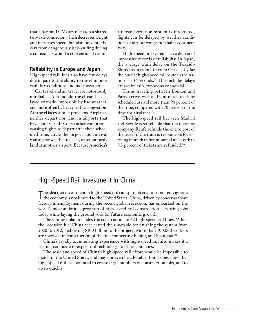that adjacent TGV cars rest atop a shared two-axle connector, which decreases weight and increases speed, but also prevents the cars from dangerously jack-knifing during a collision as would a conventional train.

### **Reliability in Europe and Japan**

High-speed rail lines also have few delays due in part to the ability to travel in poor visibility conditions and most weather.

Car travel and air travel are notoriously unreliable. Automobile travel can be delayed or made impossible by bad weather, and more often by heavy traffic congestion. Air travel faces similar problems. Airplanes neither depart nor land in airports that have poor visibility or weather conditions, causing flights to depart after their scheduled time, circle the airport upon arrival waiting for weather to clear, or temporarily land at another airport. Because America's

air transportation system is integrated, flights can be delayed by weather conditions or airport congestion half a continent away.

High-speed rail systems have delivered impressive records of reliability. In Japan, the average train delay on the Tokaido Shinkansen from Tokyo to Osaka—by far the busiest high-speed rail route in the nation—is 36 seconds.78 This includes delays caused by rain, typhoons or snowfall.

Trains traveling between London and Paris arrive within 15 minutes of their scheduled arrival more than 90 percent of the time, compared with 70 percent of the time for airplanes.79

The high-speed rail between Madrid and Seville is so reliable that the operator company Renfe refunds the entire cost of the ticket if the train is responsible for arriving more than five minutes late; less than 0.3 percent of tickets are refunded.80

### High-Speed Rail Investment in China

The idea that investment in high-speed rail can spur job creation and reinvigorate<br>the economy is not limited to the United States. China, driven by concerns about he idea that investment in high-speed rail can spur job creation and reinvigorate factory unemployment during the recent global recession, has embarked on the world's most ambitious program of high-speed rail construction—creating jobs today while laying the groundwork for future economic growth.

The Chinese plan includes the construction of 42 high-speed rail lines. When the recession hit, China accelerated the timetable for finishing the system from 2020 to 2012, dedicating \$100 billion to the project. More than 100,000 workers are involved in construction of the line connecting Beijing and Shanghai.<sup>81</sup>

China's rapidly accumulating experience with high-speed rail also makes it a leading candidate to export rail technology to other countries.

The scale and speed of China's high-speed rail effort would be impossible to match in the United States, and may not even be advisable. But it does show that high-speed rail has potential to create large numbers of construction jobs, and to do so quickly.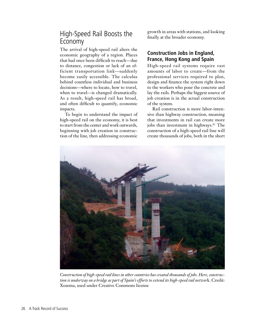### High-Speed Rail Boosts the Economy

The arrival of high-speed rail alters the economic geography of a region. Places that had once been difficult to reach—due to distance, congestion or lack of an efficient transportation link—suddenly become easily accessible. The calculus behind countless individual and business decisions—where to locate, how to travel, when to travel—is changed dramatically. As a result, high-speed rail has broad, and often difficult to quantify, economic impacts.

To begin to understand the impact of high-speed rail on the economy, it is best to start from the center and work outwards, beginning with job creation in construction of the line, then addressing economic

growth in areas with stations, and looking finally at the broader economy.

### **Construction Jobs in England, France, Hong Kong and Spain**

High-speed rail systems require vast amounts of labor to create—from the professional services required to plan, design and finance the system right down to the workers who pour the concrete and lay the rails. Perhaps the biggest source of job creation is in the actual construction of the system.

Rail construction is more labor-intensive than highway construction, meaning that investments in rail can create more jobs than investment in highways.<sup>82</sup> The construction of a high-speed rail line will create thousands of jobs, both in the short



*Construction of high-speed rail lines in other countries has created thousands of jobs. Here, construction is underway on a bridge as part of Spain's efforts to extend its high-speed rail networ*k. Credit: Xosema, used under Creative Commons license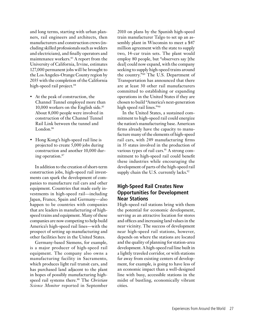and long terms, starting with urban planners, rail engineers and architects, then manufacturers and construction crews (including skilled professionals such as welders and electricians), and finally operators and maintenance workers.83 A report from the University of California, Irvine, estimates 127,000 permanent jobs will be brought to the Los Angeles-Orange County region by 2035 with the completion of the California high-speed rail project.<sup>84</sup>

- At the peak of construction, the Channel Tunnel employed more than 10,000 workers on the English side.<sup>85</sup> About 8,000 people were involved in construction of the Channel Tunnel Rail Link between the tunnel and London. 86
- Hong Kong's high-speed rail line is projected to create 5,000 jobs during construction and another 10,000 during operation.87

In addition to the creation of short-term construction jobs, high-speed rail investments can spark the development of companies to manufacture rail cars and other equipment. Countries that made early investments in high-speed rail—including Japan, France, Spain and Germany—also happen to be countries with companies that are leaders in manufacturing of highspeed trains and equipment. Many of these companies are now competing to help build America's high-speed rail lines—with the prospect of setting up manufacturing and other facilities here in the United States.

Germany-based Siemens, for example, is a major producer of high-speed rail equipment. The company also owns a manufacturing facility in Sacramento, which produces light rail transit cars, and has purchased land adjacent to the plant in hopes of possibly manufacturing highspeed rail systems there.88 The *Christian Science Monitor* reported in September

2010 on plans by the Spanish high-speed train manufacturer Talgo to set up an assembly plant in Wisconsin to meet a \$47 million agreement with the state to supply two, 14-car train sets. The plant would employ 80 people, but "observers say [the deal] could now expand, with the company seeking to supply high-speed trains around the country."89 The U.S. Department of Transportation has announced that there are at least 30 other rail manufacturers committed to establishing or expanding operations in the United States if they are chosen to build "America's next-generation high speed rail lines."90

In the United States, a sustained commitment to high-speed rail could energize the nation's manufacturing base. American firms already have the capacity to manufacture many of the elements of high-speed rail cars, with 249 manufacturing firms in 35 states involved in the production of various types of rail cars.<sup>91</sup> A strong commitment to high-speed rail could benefit these industries while encouraging the development of parts of the high-speed rail supply chain the U.S. currently lacks.<sup>92</sup>

### **High-Speed Rail Creates New Opportunities for Development Near Stations**

High-speed rail stations bring with them the potential for economic development, serving as an attractive location for stores and offices and increasing land values in the near vicinity. The success of development near high-speed rail stations, however, depends on where the stations are located and the quality of planning for station-area development. A high-speed rail line built in a lightly traveled corridor, or with stations far away from existing centers of development, for example, is going to have less of an economic impact than a well-designed line with busy, accessible stations in the midst of bustling, economically vibrant cities.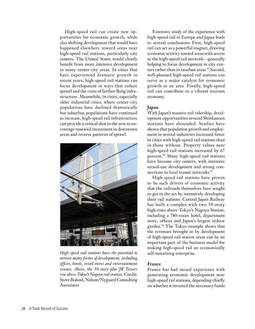High-speed rail can create new opportunities for economic growth, while also shifting development that would have happened elsewhere toward areas near high-speed rail stations, particularly city centers. The United States would clearly benefit from more intensive development in many center-city areas. In cities that have experienced dramatic growth in recent years, high-speed rail stations can focus development in ways that reduce sprawl and the costs of farther flung infrastructure. Meanwhile, in cities, especially older industrial cities, where center-city populations have declined dramatically but suburban populations have continued to increase, high-speed rail infrastructure can provide a critical shot in the arm to encourage renewed investment in downtown areas and reverse patterns of sprawl.



*High-speed rail stations have the potential to attract many forms of development, including offices, hotels, retail stores and entertainment venues. Above, the 50-story-plus JR Towers rise above Tokyo's Nagoya rail station.* Credit: Steve Boland, Nelson/Nygaard Consulting **Associates** 

Extensive study of the experience with high-speed rail in Europe and Japan leads to several conclusions: First, high-speed rail can act as a powerful magnet, drawing economic activity toward areas with access to the high-speed rail network—generally helping to focus development in city centers rather than in exurban areas.<sup>93</sup> Second, well-planned high-speed rail stations can serve as a major catalyst for economic growth in an area. Finally, high-speed rail can contribute to a vibrant tourism economy.

### **Japan**

With Japan's massive rail ridership, development opportunities around Shinkansen stations have abounded. Studies have shown that population growth and employment in several industries increased faster in cities with high-speed rail stations than in those without. Property values near high-speed rail stations increased by 67 percent.94 Many high-speed rail stations have become city centers, with intensive mixed-use development and strong connections to local transit networks.95

High-speed rail stations have proven to be such drivers of economic activity that the railroads themselves have sought to get in the act by intensively developing their rail stations. Central Japan Railway has built a complex with two 50-story high-rises above Tokyo's Nagoya Station, including a 780-room hotel, department store, offices and Japan's largest indoor garden.96 The Tokyo example shows that the revenues brought in by development of high-speed rail station areas can be an important part of the business model for making high-speed rail an economically self-sustaining enterprise.

#### **France**

France has had mixed experience with generating economic development near high-speed rail stations, depending chiefly on whether it invested the necessary funds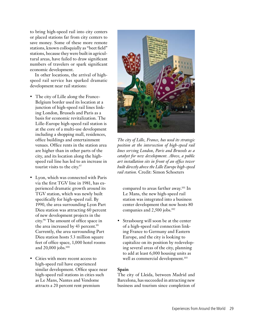to bring high-speed rail into city centers or placed stations far from city centers to save money. Some of these more remote stations, known colloquially as "beet field" stations, because they were built in agricultural areas, have failed to draw significant numbers of travelers or spark significant economic development.

In other locations, the arrival of highspeed rail service has sparked dramatic development near rail stations:

- The city of Lille along the France-Belgium border used its location at a junction of high-speed rail lines linking London, Brussels and Paris as a basis for economic revitalization. The Lille-Europe high-speed rail station is at the core of a multi-use development including a shopping mall, residences, office buildings and entertainment venues. Office rents in the station area are higher than in other parts of the city, and its location along the highspeed rail line has led to an increase in tourist visits to the city.<sup>97</sup>
- Lyon, which was connected with Paris via the first TGV line in 1981, has experienced dramatic growth around its TGV station, which was newly built specifically for high-speed rail. By 1990, the area surrounding Lyon Part Dieu station was attracting 60 percent of new development projects in the city.98 The amount of office space in the area increased by 43 percent.<sup>99</sup> Currently, the area surrounding Part Dieu station hosts 5.3 million square feet of office space, 1,000 hotel rooms and 20,000 jobs.100
- Cities with more recent access to high-speed rail have experienced similar development. Office space near high-speed rail stations in cities such as Le Mans, Nantes and Vendome attracts a 20 percent rent premium



*The city of Lille, France, has used its strategic position at the intersection of high-speed rail lines serving London, Paris and Brussels as a catalyst for new development. Above, a public art installation sits in front of an office tower built directly above the Lille Europe high-speed rail station.* Credit: Simon Schoeters

compared to areas farther away.<sup>101</sup> In Le Mans, the new high-speed rail station was integrated into a business center development that now hosts 80 companies and 2,500 jobs.102

Strasbourg will soon be at the center of a high-speed rail connection linking France to Germany and Eastern Europe, and the city is looking to capitalize on its position by redeveloping several areas of the city, planning to add at least 6,000 housing units as well as commercial development.<sup>103</sup>

#### **Spain**

The city of Lleida, between Madrid and Barcelona, has succeeded in attracting new business and tourism since completion of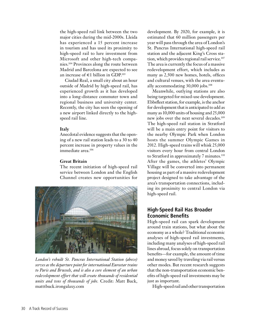the high-speed rail link between the two major cities during the mid-2000s. Lleida has experienced a 15 percent increase in tourism and has used its proximity to high-speed rail to lure investment from Microsoft and other high-tech companies.104 Provinces along the route between Madrid and Barcelona are expected to see an increase of  $\in$ 1 billion in GDP.<sup>105</sup>

Ciudad Real, a small city about an hour outside of Madrid by high-speed rail, has experienced growth as it has developed into a long-distance commuter town and regional business and university center. Recently, the city has seen the opening of a new airport linked directly to the highspeed rail line.

#### **Italy**

Anecdotal evidence suggests that the opening of a new rail station leads to a 30 to 40 percent increase in property values in the immediate area.106

#### **Great Britain**

The recent initiation of high-speed rail service between London and the English Channel creates new opportunities for



*London's rebuilt St. Pancras International Station (above) serves as the departure point for international Eurostar trains to Paris and Brussels, and is also a core element of an urban redevelopment effort that will create thousands of residential units and tens of thousands of jobs.* Credit: Matt Buck, matttbuck.irongalaxy.com

development. By 2020, for example, it is estimated that 60 million passengers per year will pass through the area of London's St. Pancras International high-speed rail station and the adjacent King's Cross station, which provides regional rail service.<sup>107</sup> The area is currently the focus of a massive redevelopment effort, which includes as many as 2,500 new homes, hotels, offices and cultural venues, with the area eventually accommodating  $30,000$  jobs.<sup>108</sup>

Meanwhile, outlying stations are also being targeted for mixed-use development. Ebbsfleet station, for example, is the anchor for development that is anticipated to add as many as 10,000 units of housing and 25,000 new jobs over the next several decades.<sup>109</sup> The high-speed rail station in Stratford will be a main entry point for visitors to the nearby Olympic Park when London hosts the summer Olympic Games in 2012. High-speed trains will whisk 25,000 visitors every hour from central London to Stratford in approximately 7 minutes.<sup>110</sup> After the games, the athletes' Olympic Village will be converted into permanent housing as part of a massive redevelopment project designed to take advantage of the area's transportation connections, including its proximity to central London via high-speed rail.

### **High-Speed Rail Has Broader Economic Benefits**

High-speed rail can spark development around train stations, but what about the economy as a whole? Traditional economic analyses of high-speed rail investments, including many analyses of high-speed rail lines abroad, focus solely on transportation benefits—for example, the amount of time and money saved by traveling via rail versus other modes. But recent research suggests that the non-transportation economic benefits of high-speed rail investments may be just as important.

High-speed rail and other transportation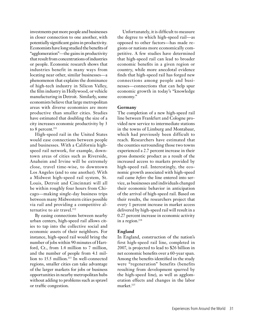investments put more people and businesses in closer connection to one another, with potentially significant gains in productivity. Economists have long studied the benefits of "agglomeration"—the gains in productivity that result from concentrations of industries or people. Economic research shows that industries benefit in many ways from locating near other, similar businesses—a phenomenon that explains the dominance of high-tech industry in Silicon Valley, the film industry in Hollywood, or vehicle manufacturing in Detroit. Similarly, some economists believe that large metropolitan areas with diverse economies are more productive than smaller cities. Studies have estimated that doubling the size of a city increases economic productivity by 3 to 8 percent.<sup>111</sup>

High-speed rail in the United States would ease connections between people and businesses. With a California highspeed rail network, for example, downtown areas of cities such as Riverside, Anaheim and Irvine will be extremely close, travel time-wise, to downtown Los Angeles (and to one another). With a Midwest high-speed rail system, St. Louis, Detroit and Cincinnati will all be within roughly four hours from Chicago—making single-day business trips between many Midwestern cities possible via rail and providing a competitive alternative to air travel.<sup>112</sup>

By easing connections between nearby urban centers, high-speed rail allows cities to tap into the collective social and economic assets of their neighbors. For instance, high-speed rail would bring the number of jobs within 90 minutes of Hartford, Ct., from 1.4 million to 7 million, and the number of people from 4.1 million to 15.5 million.113 In well-connected regions, smaller cities can take advantage of the larger markets for jobs or business opportunities in nearby metropolitan hubs without adding to problems such as sprawl or traffic congestion.

Unfortunately, it is difficult to measure the degree to which high-speed rail—as opposed to other factors—has made regions or nations more economically competitive. A few studies have determined that high-speed rail can lead to broader economic benefits in a given region or country, while more anecdotal evidence finds that high-speed rail has forged new connections among people and businesses—connections that can help spur economic growth in today's "knowledge economy."

### **Germany**

The completion of a new high-speed rail line between Frankfurt and Cologne provided new service to intermediate stations in the towns of Limburg and Montabaur, which had previously been difficult to reach. Researchers have estimated that the counties surrounding those two towns experienced a 2.7 percent increase in their gross domestic product as a result of the increased access to markets provided by high-speed rail. Interestingly, the economic growth associated with high-speed rail came *before* the line entered into service, as businesses and individuals changed their economic behavior in anticipation of the arrival of high-speed rail. Based on their results, the researchers project that every 1 percent increase in market access delivered by high-speed rail will result in a 0.27 percent increase in economic activity in a region.<sup>114</sup>

### **England**

In England, construction of the nation's first high-speed rail line, completed in 2007, is projected to lead to \$26 billion in net economic benefits over a 60-year span. Among the benefits identified in the study were "regeneration" benefits (benefits resulting from development spurred by the high-speed line), as well as agglomeration effects and changes in the labor market.<sup>115</sup>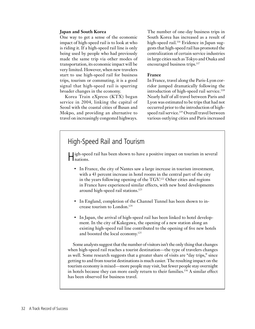#### **Japan and South Korea**

One way to get a sense of the economic impact of high-speed rail is to look at who is riding it. If a high-speed rail line is only being used by people who had previously made the same trip via other modes of transportation, its economic impact will be very limited. However, when new travelers start to use high-speed rail for business trips, tourism or commuting, it is a good signal that high-speed rail is spurring broader changes in the economy.

Korea Train eXpress (KTX) began service in 2004, linking the capital of Seoul with the coastal cities of Busan and Mokpo, and providing an alternative to travel on increasingly congested highways.

The number of one-day business trips in South Korea has increased as a result of high-speed rail.<sup>116</sup> Evidence in Japan suggests that high-speed rail has promoted the centralization of certain service industries in large cities such as Tokyo and Osaka and encouraged business trips.<sup>117</sup>

#### **France**

In France, travel along the Paris-Lyon corridor jumped dramatically following the introduction of high-speed rail service.<sup>118</sup> Nearly half of all travel between Paris and Lyon was estimated to be trips that had not occurred prior to the introduction of highspeed rail service.<sup>119</sup> Overall travel between various outlying cities and Paris increased

### High-Speed Rail and Tourism

High-speed rail has been shown to have a positive impact on tourism in several **nations.** 

- In France, the city of Nantes saw a large increase in tourism investment, with a 43 percent increase in hotel rooms in the central part of the city in the years following opening of the TGV.122 Other cities and regions in France have experienced similar effects, with new hotel developments around high-speed rail stations.<sup>123</sup>
- In England, completion of the Channel Tunnel has been shown to increase tourism to London.124
- In Japan, the arrival of high-speed rail has been linked to hotel development. In the city of Kakegawa, the opening of a new station along an existing high-speed rail line contributed to the opening of five new hotels and boosted the local economy.125

Some analysts suggest that the number of visitors isn't the only thing that changes when high-speed rail reaches a tourist destination—the type of travelers changes as well. Some research suggests that a greater share of visits are "day trips," since getting to and from tourist destinations is much easier. The resulting impact on the tourism economy is mixed—more people may visit, but fewer people stay overnight in hotels because they can more easily return to their families.156 A similar effect has been observed for business travel.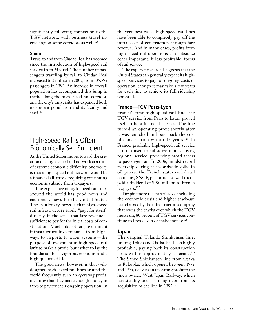significantly following connection to the TGV network, with business travel increasing on some corridors as well.<sup>120</sup>

#### **Spain**

Travel to and from Ciudad Real has boomed since the introduction of high-speed rail service from Madrid. The number of passengers traveling by rail to Ciudad Real increased to 2 million in 2005, from 135,595 passengers in 1992. An increase in overall population has accompanied this jump in traffic along the high-speed rail corridor, and the city's university has expanded both its student population and its faculty and staff. 121

### High-Speed Rail Is Often Economically Self Sufficient

As the United States moves toward the creation of a high-speed rail network at a time of extreme economic difficulty, one worry is that a high-speed rail network would be a financial albatross, requiring continuing economic subsidy from taxpayers.

The experience of high-speed rail lines around the world has good news and cautionary news for the United States. The cautionary news is that high-speed rail infrastructure rarely "pays for itself" directly, in the sense that fare revenue is sufficient to pay for the initial costs of construction. Much like other government infrastructure investments—from highways to airports to water systems—the purpose of investment in high-speed rail isn't to make a profit, but rather to lay the foundation for a vigorous economy and a high quality of life.

The good news, however, is that welldesigned high-speed rail lines around the world frequently turn an *operating* profit, meaning that they make enough money in fares to pay for their ongoing operation. In

the very best cases, high-speed rail lines have been able to completely pay off the initial cost of construction through fare revenue. And in many cases, profits from high-speed rail operations can subsidize other important, if less profitable, forms of rail service.

The experience abroad suggests that the United States can generally expect its highspeed services to pay for ongoing costs of operation, though it may take a few years for each line to achieve its full ridership potential.

### **France—TGV Paris-Lyon**

France's first high-speed rail line, the TGV service from Paris to Lyon, proved itself to be a financial success. The line turned an operating profit shortly after it was launched and paid back the cost of construction within 12 years.<sup>126</sup> In France, profitable high-speed rail service is often used to subsidize money-losing regional service, preserving broad access to passenger rail. In 2008, amidst record ridership during the worldwide spike in oil prices, the French state-owned rail company, SNCF, performed so well that it paid a dividend of \$190 million to French taxpayers.127

Despite more recent setbacks, including the economic crisis and higher track-use fees charged by the infrastructure company that owns the tracks over which the TGV must run, 80 percent of TGV services continue to break even or make money.<sup>128</sup>

#### **Japan**

The original Tokaido Shinkansen line, linking Tokyo and Osaka, has been highly profitable, paying back its construction costs within approximately a decade.<sup>129</sup> The Sanyo Shinkansen line from Osaka to Fukuoka, which opened between 1972 and 1975, delivers an operating profit to the line's owner, West Japan Railway, which has steadily been retiring debt from its acquisition of the line in 1997.130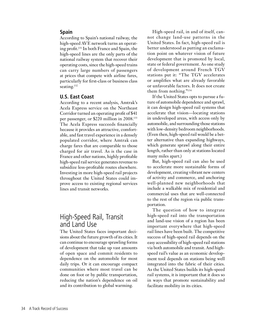### **Spain**

According to Spain's national railway, the high-speed AVE network turns an operating profit.131 In both France and Spain, the high-speed lines are the only parts of the national railway system that recover their operating costs, since the high-speed trains can carry large numbers of passengers at prices that compete with airline fares, particularly for first-class or business class seating.<sup>132</sup>

### **U.S. East Coast**

According to a recent analysis, Amtrak's Acela Express service on the Northeast Corridor turned an operating profit of \$41 per passenger, or \$220 million in 2008.133 The Acela Express succeeds financially because it provides an attractive, comfortable, and fast travel experience in a densely populated corridor, where Amtrak can charge fares that are comparable to those charged for air travel. As is the case in France and other nations, highly profitable high-speed rail service generates revenue to subsidize less-profitable routes elsewhere. Investing in more high-speed rail projects throughout the United States could improve access to existing regional services lines and transit networks.

### High-Speed Rail, Transit and Land Use

The United States faces important decisions about the future growth of its cities. It can continue to encourage sprawling forms of development that take up vast amounts of open space and commit residents to dependence on the automobile for most daily trips. Or it can encourage compact communities where most travel can be done on foot or by public transportation, reducing the nation's dependence on oil and its contribution to global warming.

High-speed rail, in and of itself, cannot change land-use patterns in the United States. In fact, high-speed rail is better understood as putting an exclamation point on whatever vision of future development that is promoted by local, state or federal government. As one study of development around French TGV stations put it: "The TGV accelerates or amplifies what are already favorable or unfavorable factors. It does not create them from nothing."134

If the United States opts to pursue a future of automobile dependence and sprawl, it can design high-speed rail systems that accelerate that vision—locating stations in undeveloped areas, with access only by automobile, and surrounding those stations with low-density bedroom neighborhoods. (Even then, high-speed rail would be a better alternative than expanding highways, which generate sprawl along their entire length, rather than only at stations located many miles apart.)

But, high-speed rail can also be used to accelerate more sustainable forms of development, creating vibrant new centers of activity and commerce, and anchoring well-planned new neighborhoods that include a walkable mix of residential and commercial uses that are well-connected to the rest of the region via public transportation.

The question of how to integrate high-speed rail into the transportation and land-use vision of a region has been important everywhere that high-speed rail lines have been built. The competitive success of high-speed rail depends on the easy accessibility of high-speed rail stations via both automobile and transit. And highspeed rail's value as an economic development tool depends on stations being well integrated into the fabric of their cities. As the United States builds its high-speed rail systems, it is important that it does so in ways that promote sustainability and facilitate mobility in its cities.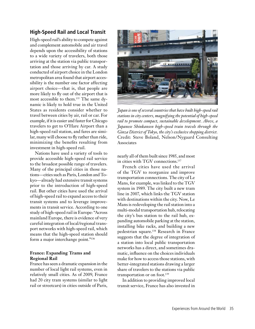### **High-Speed Rail and Local Transit**

High-speed rail's ability to compete against and complement automobile and air travel depends upon the accessibility of stations to a wide variety of travelers, both those arriving at the station via public transportation and those arriving by car. A study conducted of airport choice in the London metropolitan area found that airport accessibility is the number one factor affecting airport choice—that is, that people are more likely to fly out of the airport that is most accessible to them.135 The same dynamic is likely to hold true in the United States as residents consider whether to travel between cities by air, rail or car. For example, if it is easier and faster for Chicago travelers to get to O'Hare Airport than a high-speed rail station, and fares are similar, many will choose to fly rather than ride, minimizing the benefits resulting from investment in high-speed rail.

Nations have used a variety of tools to provide accessible high-speed rail service to the broadest possible range of travelers. Many of the principal cities in those nations—cities such as Paris, London and Tokyo—already had extensive transit systems prior to the introduction of high-speed rail. But other cities have used the arrival of high-speed rail to expand access to their transit systems and to leverage improvements in transit service. According to one study of high-speed rail in Europe: "Across mainland Europe, there is evidence of very careful integration of local/regional transport networks with high-speed rail, which means that the high-speed station should form a major interchange point."<sup>136</sup>

### **France: Expanding Trams and Regional Rail**

France has seen a dramatic expansion in the number of local light rail systems, even in relatively small cities. As of 2009, France had 20 city tram systems (similar to light rail or streetcars) in cities outside of Paris,



*Japan is one of several countries that have built high-speed rail stations in city centers, magnifying the potential of high-speed rail to promote compact, sustainable development. Above, a Japanese Shinkansen high-speed train travels through the Ginza District of Tokyo, the city's exclusive shopping district.* Credit: Steve Boland, Nelson/Nygaard Consulting Associates

nearly all of them built since 1985, and most in cities with TGV connections.<sup>137</sup>

French cities have used the arrival of the TGV to reorganize and improve transportation connections. The city of Le Mans, for example, was linked to the TGV system in 1989. The city built a new tram line in 2007, which links the TGV station with destinations within the city. Now, Le Mans is redeveloping the rail station into a multi-modal transportation hub, relocating the city's bus station to the rail hub, expanding automobile parking at the station, installing bike racks, and building a new pedestrian square.138 Research in France suggests that the degree of integration of a station into local public transportation networks has a direct, and sometimes dramatic, influence on the choices individuals make for how to access those stations, with better-integrated stations drawing a larger share of travelers to the stations via public transportation or on foot.<sup>139</sup>

In addition to providing improved local transit service, France has also invested in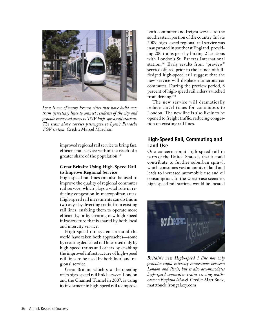

*Lyon is one of many French cities that have build new tram (streetcar) lines to connect residents of the city and provide improved access to TGV high-speed rail stations. The tram above carries passengers to Lyon's Perrache TGV station.* Credit: Marcel Marchon

improved regional rail service to bring fast, efficient rail service within the reach of a greater share of the population.140

### **Great Britain: Using High-Speed Rail to Improve Regional Service**

High-speed rail lines can also be used to improve the quality of regional commuter rail service, which plays a vital role in reducing congestion in metropolitan areas. High-speed rail investments can do this in two ways: by diverting traffic from existing rail lines, enabling them to operate more efficiently, or by creating new high-speed infrastructure that is shared by both local and intercity service.

High-speed rail systems around the world have taken both approaches—some by creating dedicated rail lines used only by high-speed trains and others by enabling the improved infrastructure of high-speed rail lines to be used by both local and regional service.

Great Britain, which saw the opening of its high-speed rail link between London and the Channel Tunnel in 2007, is using its investment in high-speed rail to improve

both commuter and freight service to the southeastern portion of the country. In late 2009, high-speed regional rail service was inaugurated in southeast England, providing 200 trains per day linking 21 stations with London's St. Pancras International station.141 Early results from "preview" service offered prior to the launch of fullfledged high-speed rail suggest that the new service will displace numerous car commutes. During the preview period, 8 percent of high-speed rail riders switched from driving.<sup>142</sup>

The new service will dramatically reduce travel times for commuters to London. The new line is also likely to be opened to freight traffic, reducing congestion on existing rail lines.

### **High-Speed Rail, Commuting and Land Use**

One concern about high-speed rail in parts of the United States is that it could contribute to further suburban sprawl, which consumes vast amounts of land and leads to increased automobile use and oil consumption. In the worst-case scenario, high-speed rail stations would be located



*Britain's new High-speed 1 line not only provides rapid intercity connections between London and Paris, but it also accommodates high-speed commuter trains serving southeastern England (above).* Credit: Matt Buck, matttbuck.irongalaxy.com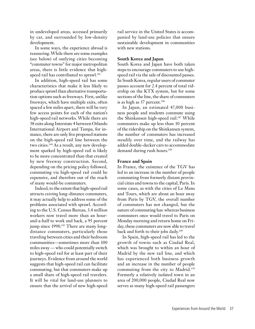in undeveloped areas, accessed primarily by car, and surrounded by low-density development.

In some ways, the experience abroad is reassuring. While there are some examples (see below) of outlying cities becoming "commuter towns" for major metropolitan areas, there is little evidence that highspeed rail has contributed to sprawl.<sup>143</sup>

In addition, high-speed rail has some characteristics that make it less likely to produce sprawl than alternative transportation options such as freeways. First, unlike freeways, which have multiple exits, often spaced a few miles apart, there will be very few access points for each of the nation's high-speed rail networks. While there are 38 exits along Interstate 4 between Orlando International Airport and Tampa, for instance, there are only five proposed stations on the high-speed rail line between the two cities.144 As a result, any new development sparked by high-speed rail is likely to be more concentrated than that created by new freeway construction. Second, depending on the pricing policy followed, commuting via high-speed rail could be expensive, and therefore out of the reach of many would-be commuters.

Indeed, to the extent that high-speed rail attracts *existing* long-distance commuters, it may actually help to address some of the problems associated with sprawl. According to the U.S. Census Bureau, 3.4 million workers now travel more than an hourand-a-half to work and back, a 95 percent jump since 1990.<sup>145</sup> There are many longdistance commuters, particularly those traveling between cities and their bedroom communities—sometimes more than 100 miles away — who could potentially switch to high-speed rail for at least part of their journeys. Evidence from around the world suggests that high-speed rail can facilitate commuting, but that commuters make up a small share of high-speed rail travelers. It will be vital for land-use planners to ensure that the arrival of new high-speed

rail service in the United States is accompanied by land-use policies that ensure sustainable development in communities with new stations.

#### **South Korea and Japan**

South Korea and Japan have both taken steps to encourage commuters to use highspeed rail via the sale of discounted passes. In South Korea, regular users of commuter passes account for 2.4 percent of total ridership on the KTX system, but for some sections of the line, the share of commuters is as high as  $37$  percent.<sup>146</sup>

In Japan, an estimated 47,000 business people and students commute using the Shinkansen high-speed rail.<sup>147</sup> While commuters make up less than 10 percent of the ridership on the Shinkansen system, the number of commuters has increased steadily over time, and the railway has added double-decker cars to accommodate demand during rush hours.<sup>148</sup>

#### **France and Spain**

In France, the existence of the TGV has led to an increase in the number of people commuting from formerly distant provincial cities and towns to the capital, Paris. In some cases, as with the cities of Le Mans and Tours, which are about an hour away from Paris by TGV, the overall number of commuters has not changed, but the nature of commuting has: whereas business commuters once would travel to Paris on Monday morning and return home on Friday, these commuters are now able to travel back and forth to their jobs daily.<sup>149</sup>

In Spain, high-speed rail has led to the growth of towns such as Ciudad Real, which was brought to within an hour of Madrid by the new rail line, and which has experienced both business growth and an increase in the number of people commuting from the city to Madrid.150 Formerly a relatively isolated town in an area of 200,000 people, Ciudad Real now serves as many high-speed rail passengers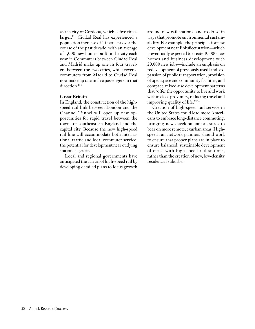as the city of Cordoba, which is five times larger.151 Ciudad Real has experienced a population increase of 15 percent over the course of the past decade, with an average of 1,000 new homes built in the city each year.152 Commuters between Ciudad Real and Madrid make up one in four travelers between the two cities, while reverse commuters from Madrid to Ciudad Real now make up one in five passengers in that direction.<sup>153</sup>

### **Great Britain**

In England, the construction of the highspeed rail link between London and the Channel Tunnel will open up new opportunities for rapid travel between the towns of southeastern England and the capital city. Because the new high-speed rail line will accommodate both international traffic and local commuter service, the potential for development near outlying stations is great.

Local and regional governments have anticipated the arrival of high-speed rail by developing detailed plans to focus growth around new rail stations, and to do so in ways that promote environmental sustainability. For example, the principles for new development near Ebbsfleet station—which is eventually expected to create 10,000 new homes and business development with 20,000 new jobs—include an emphasis on redevelopment of previously used land, expansion of public transportation, provision of open space and community facilities, and compact, mixed-use development patterns that "offer the opportunity to live and work within close proximity, reducing travel and improving quality of life."154

Creation of high-speed rail service in the United States could lead more Americans to embrace long-distance commuting, bringing new development pressures to bear on more remote, exurban areas. Highspeed rail network planners should work to ensure that proper plans are in place to ensure balanced, sustainable development of cities with high-speed rail stations, rather than the creation of new, low-density residential suburbs.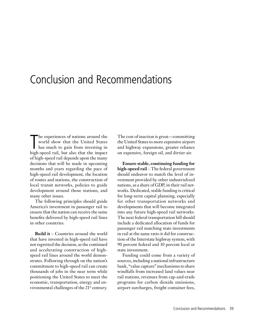## Conclusion and Recommendations

The experiences of nations around the<br>world show that the United States<br>has much to gain from investing in<br>high-speed rail, but also that the impact he experiences of nations around the world show that the United States has much to gain from investing in of high-speed rail depends upon the many decisions that will be made in upcoming months and years regarding the pace of high-speed rail development, the location of routes and stations, the construction of local transit networks, policies to guide development around those stations, and many other issues.

The following principles should guide America's investment in passenger rail to ensure that the nation can receive the same benefits delivered by high-speed rail lines in other countries.

**Build it** – Countries around the world that have invested in high-speed rail have not regretted the decision, as the continued and accelerating construction of highspeed rail lines around the world demonstrates. Following through on the nation's commitment to high-speed rail can create thousands of jobs in the near term while positioning the United States to meet the economic, transportation, energy and environmental challenges of the 21<sup>st</sup> century. The cost of inaction is great—committing the United States to more expensive airport and highway expansions, greater reliance on expensive, foreign oil, and dirtier air.

**Ensure stable, continuing funding for high-speed rail** – The federal government should endeavor to match the level of investment provided by other industrialized nations, as a share of GDP, in their rail networks. Dedicated, stable funding is critical for long-term capital planning, especially for other transportation networks and developments that will become integrated into any future high-speed rail networks. The next federal transportation bill should include a dedicated allocation of funds for passenger rail matching state investments in rail at the same ratio it did for construction of the Interstate highway system, with 90 percent federal and 10 percent local or state investment.

Funding could come from a variety of sources, including a national infrastructure bank, "value capture" mechanisms to share windfalls from increased land values near rail stations, revenues from cap-and-trade programs for carbon dioxide emissions, airport surcharges, freight container fees,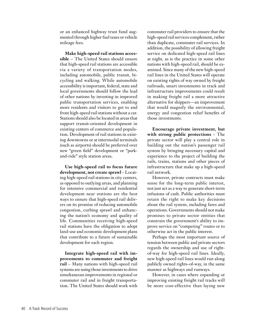or an enhanced highway trust fund augmented through higher fuel taxes or vehicle mileage fees.

**Make high-speed rail stations accessible** – The United States should ensure that high-speed rail stations are accessible via a variety of transportation modes, including automobile, public transit, bicycling and walking. While automobile accessibility is important, federal, state and local governments should follow the lead of other nations by investing in improved public transportation services, enabling more residents and visitors to get to and from high-speed rail stations without a car. Stations should also be located in areas that support transit-oriented development in existing centers of commerce and population. Development of rail stations in existing downtowns or at intermodal terminals (such as airports) should be preferred over new "green field" development or "parkand-ride" style station areas.

**Use high-speed rail to focus future development, not create sprawl** – Locating high-speed rail stations in city centers, as opposed to outlying areas, and planning for intensive commercial and residential development near stations are the best ways to ensure that high-speed rail delivers on its promise of reducing automobile congestion, curbing sprawl and enhancing the nation's economy and quality of life. Communities receiving high-speed rail stations have the obligation to adopt land-use and economic development plans that contribute to a future of sustainable development for each region.

**Integrate high-speed rail with improvements to commuter and freight rail** – Many nations with high-speed rail systems are using those investments to drive simultaneous improvements in regional or commuter rail and in freight transportation. The United States should work with

commuter rail providers to ensure that the high-speed rail services complement, rather than duplicate, commuter rail services. In addition, the possibility of allowing freight service on dedicated high-speed rail lines at night, as is the practice in some other nations with high-speed rail, should be examined. Since many of the new high-speed rail lines in the United States will operate on existing rights of way owned by freight railroads, smart investments in track and infrastructure improvements could result in making freight rail a more attractive alternative for shippers—an improvement that would magnify the environmental, energy and congestion relief benefits of those investments.

**Encourage private investment, but with strong public protections** – The private sector will play a central role in building out the nation's passenger rail system by bringing necessary capital and experience to the project of building the rails, trains, stations and other pieces of infrastructure that make up a high-speed rail network.

However, private contracts must make sense for the long-term public interest, not just act as a way to generate short-term infusions of cash. Public authorities must retain the right to make key decisions about the rail system, including fares and operations. Governments should not make promises to private sector entities that constrain the government's ability to improve service on "competing" routes or to otherwise act in the public interest.

Perhaps the most important source of tension between public and private sectors regards the ownership and use of rightof-way for high-speed rail lines. Ideally, new high-speed rail lines would run along publicly owned rights-of-way, in the same manner as highways and runways.

However, in cases where expanding or improving existing freight rail tracks will be more cost-effective than laying new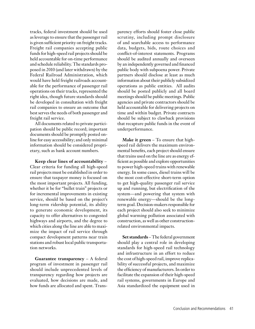tracks, federal investment should be used as leverage to ensure that the passenger rail is given sufficient priority on freight tracks. Freight rail companies accepting public funds for high-speed rail projects should be held accountable for on-time performance and schedule reliability. The standards proposed in 2010 (and later withdrawn) by the Federal Railroad Administration, which would have held freight railroads accountable for the performance of passenger rail operations on their tracks, represented the right idea, though future standards should be developed in consultation with freight rail companies to ensure an outcome that best serves the needs of both passenger and freight rail service.

All documents related to private participation should be public record; important documents should be promptly posted online for easy accessibility; and only minimal information should be considered proprietary, such as bank account numbers.

**Keep clear lines of accountability** – Clear criteria for funding all high-speed rail projects must be established in order to ensure that taxpayer money is focused on the most important projects. All funding, whether it be for "bullet train" projects or for incremental improvements in existing service, should be based on the project's long-term ridership potential, its ability to generate economic development, its capacity to offer alternatives to congested highways and airports, and the degree to which cities along the line are able to maximize the impact of rail service through compact development patterns near train stations and robust local public transportation networks.

**Guarantee transparency** – A federal program of investment in passenger rail should include unprecedented levels of transparency regarding how projects are evaluated, how decisions are made, and how funds are allocated and spent. Transparency efforts should foster close public scrutiny, including prompt disclosure of and searchable access to performance data, budgets, bids, route choices and conflict-of-interest statements. Programs should be audited annually and overseen by an independently governed and financed public body with subpoena power. Private partners should disclose at least as much information about their publicly subsidized operations as public entities. All audits should be posted publicly and all board meetings should be public meetings. Public agencies and private contractors should be held accountable for delivering projects on time and within budget. Private contracts should be subject to clawback provisions that recapture public funds in the event of underperformance.

**Make it green** – To ensure that highspeed rail delivers the maximum environmental benefits, each project should ensure that trains used on the line are as energy efficient as possible and explore opportunities to power high-speed trains with renewable energy. In some cases, diesel trains will be the most cost-effective short-term option to get high-quality passenger rail service up and running, but electrification of the system—and powering that system with renewable energy—should be the longterm goal. Decision-makers responsible for each project should also seek to minimize global warming pollution associated with construction, as well as other constructionrelated environmental impacts.

**Set standards** – The federal government should play a central role in developing standards for high-speed rail technology and infrastructure in an effort to reduce the cost of high-speed rail, improve replicability of successful projects, and maximize the efficiency of manufacturers. In order to facilitate the expansion of their high-speed rail systems, governments in Europe and Asia standardized the equipment used in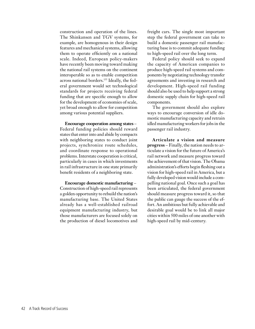construction and operation of the lines. The Shinkansen and TGV systems, for example, are homogenous in their design features and mechanical systems, allowing them to operate efficiently on a national scale. Indeed, European policy-makers have recently been moving toward making the national rail systems on the continent interoperable so as to enable competition across national borders.155 Ideally, the federal government would set technological standards for projects receiving federal funding that are specific enough to allow for the development of economies of scale, yet broad enough to allow for competition among various potential suppliers.

**Encourage cooperation among states** – Federal funding policies should reward states that enter into and abide by compacts with neighboring states to conduct joint projects, synchronize route schedules, and coordinate response to operational problems. Interstate cooperation is critical, particularly in cases in which investments in rail infrastructure in one state primarily benefit residents of a neighboring state.

**Encourage domestic manufacturing** – Construction of high-speed rail represents a golden opportunity to rebuild the nation's manufacturing base. The United States already has a well-established railroad equipment manufacturing industry, but those manufacturers are focused solely on the production of diesel locomotives and

freight cars. The single most important step the federal government can take to build a domestic passenger rail manufacturing base is to commit adequate funding to high-speed rail over the long term.

Federal policy should seek to expand the capacity of American companies to produce high-speed rail systems and components by negotiating technology transfer agreements and investing in research and development. High-speed rail funding should also be used to help support a strong domestic supply chain for high-speed rail components.

The government should also explore ways to encourage conversion of idle domestic manufacturing capacity and retrain idled manufacturing workers for jobs in the passenger rail industry.

**Articulate a vision and measure progress** – Finally, the nation needs to articulate a vision for the future of America's rail network and measure progress toward the achievement of that vision. The Obama administration's efforts begin fleshing out a vision for high-speed rail in America, but a fully developed vision would include a compelling national goal. Once such a goal has been articulated, the federal government should measure progress toward it, so that the public can gauge the success of the effort. An ambitious but fully achievable and desirable goal would be to link all major cities within 500 miles of one another with high-speed rail by mid-century.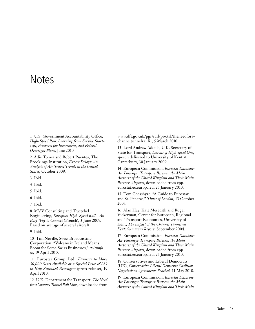## **Notes**

1 U.S. Government Accountability Office*, High-Speed Rail: Learning from Service Start-Ups, Prospects for Investment, and Federal Oversight Plans,* June 2010*.*

2 Adie Tomer and Robert Puentes, The Brookings Institution, *Expect Delays: An Analysis of Air Travel Trends in the United States,* October 2009.

- 3 Ibid.
- 4 Ibid.
- 5 Ibid.
- 6 Ibid.
- 7 Ibid.

8 MVV Consulting and Tractebel Engineering, *European High-Speed Rail – An Easy Way to Connect* (French), 3 June 2009. Based on average of several aircraft.

9 Ibid.

10 Tim Neville, Swiss Broadcasting Corporation, "Volcano in Iceland Means Boom for Some Swiss Businesses," *swissinfo. ch,* 19 April 2010.

11 Eurostar Group, Ltd., *Eurostar to Make 30,000 Seats Available at a Special Price of £89 to Help Stranded Passengers* (press release), 19 April 2010.

12 U.K. Department for Transport, *The Need for a Channel Tunnel Rail Link*, downloaded from

www.dft.gov.uk/pgr/rail/pi/ctrl/theneedforachanneltunnelrailli1, 5 March 2010.

13 Lord Andrew Adonis, U.K. Secretary of State for Transport, *Lessons of High-speed One*, speech delivered to University of Kent at Canterbury, 30 January 2009.

14 European Commission, *Eurostat Database: Air Passenger Transport Between the Main Airports of the United Kingdom and Their Main Partner Airports*, downloaded from epp. eurostat.ec.europa.eu, 25 January 2010.

15 Tom Chesshyre, "A Guide to Eurostar and St. Pancras," *Times of London*, 13 October 2007.

16 Alan Hay, Kate Meredith and Roger Vickerman, Center for European, Regional and Transport Economics, University of Kent, *The Impact of the Channel Tunnel on Kent: Summary Report*, September 2004.

17 European Commission, *Eurostat Database: Air Passenger Transport Between the Main Airports of the United Kingdom and Their Main Partner Airports*, downloaded from epp. eurostat.ec.europa.eu, 25 January 2010.

18 Conservatives and Liberal Democrats (UK), *Conservative Liberal Democrat Coalition Negotiations Agreements Reached*, 11 May 2010.

19 European Commission, *Eurostat Database: Air Passenger Transport Between the Main Airports of the United Kingdom and Their Main*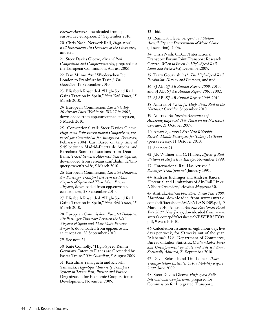*Partner Airports*, downloaded from epp. eurostat.ec.europa.eu, 27 September 2010.

20 Chris Nash, Network Rail, *High-speed Rail Investment: An Overview of the Literature*, undated.

21 Steer Davies Gleeve, *Air and Rail Competition and Complementarity*, prepared for the European Commission, August 2006.

22 Dan Milmo, "Auf Wiedersehen Jet: London to Frankfurt by Train," *The Guardian*, 19 September 2010.

23 Elisabeth Rosenthal, "High-Speed Rail Gains Traction in Spain," *New York Times*, 15 March 2010.

24 European Commission, *Eurostat: Top 20 Airport Pairs Within the EU-27 in 2007*, downloaded from epp.eurostat.ec.europa.eu, 5 March 2010.

25 Conventional rail: Steer Davies Gleeve, *High-speed Rail: International Comparisons, prepared for Commission for Integrated Transport*, February 2004: Car: Based on trip time of 5:45 between Madrid-Puerta de Atocha and Barcelona Sants rail stations from Deutche Bahn, *Travel Service: Advanced Search Options*, downloaded from reiseauskunft.bahn.de/bin/ query.exe/en?rt=1&, 5 March 2010.

26 European Commission, *Eurostat Database: Air Passenger Transport Between the Main Airports of Spain and Their Main Partner Airports*, downloaded from epp.eurostat. ec.europa.eu, 28 September 2010.

27 Elisabeth Rosenthal, "High-Speed Rail Gains Traction in Spain," *New York Times*, 15 March 2010.

28 European Commission, *Eurostat Database: Air Passenger Transport Between the Main Airports of Spain and Their Main Partner Airports*, downloaded from epp.eurostat. ec.europa.eu, 28 September 2010.

29 See note 21.

30 Kate Connolly, "High-Speed Rail in Germany: Intercity Planes are Grounded by Faster Trains," *The Guardian*, 5 August 2009.

31 Katsuhiro Yamaguchi and Kiyoshi Yamasaki, *High-Speed Inter-city Transport System in Japan: Past, Present and Future*, Organization for Economic Cooperation and Development, November 2009.

32 Ibid.

33 Reinhart Clever, *Airport and Station Accessibility as a Determinant of Mode Choice* (dissertation), 2006.

34 Chris Nash, OECD/International Transport Forum Joint Transport Research Centre, *When to Invest in High-Speed Rail Links and Networks?*, December2009.

35 Terry Gourvish, hs2, *The High-Speed Rail Revolution: History and Prospects*, undated.

36 SJ AB, *SJ AB Annual Report 2009*, 2010, and SJ AB, *SJ AB Annual Report 2001*, 2002.

37 SJ AB, *SJ AB Annual Report 2009*, 2010.

38 Amtrak, *A Vision for High-Speed Rail in the Northeast Corridor*, September 2010.

39 Amtrak, *An Interim Assessment of Achieving Improved Trip Times on the Northeast Corridor*, 21 October 2009.

40 Amtrak, *Amtrak Sets New Ridership Record, Thanks Passengers for Taking the Train*  (press release), 11 October 2010.

41 See note 21.

42 J.P. Widmer and C. Hidber, *Effects of Rail Stations at Airports in Europe*, November 1999.

43 "International Rail Has Arrived," *Passenger Train Journal,* January 1991.

44 Andreas Eichinger and Andreas Knorr, "Potential and Limitations of Air-Rail Links: A Short Overview," *Aerlines Magazine* 30.

45 Amtrak, *Amtrak Fact Sheet: Fiscal Year 2009: Maryland*, downloaded from www.amtrak. com/pdf/factsheets/MARYLAND09.pdf, 9 March 2010; Amtrak, *Amtrak Fact Sheet: Fiscal Year 2009: New Jersey*, downloaded from www. amtrak.com/pdf/factsheets/NEWJERSEY09. pdf, 9 March 2010.

46 Calculation assumes an eight hour day, five days per week, for 50 weeks out of the year. "Alabama": U.S. Department of Commerce, Bureau of Labor Statistics, *Civilian Labor Force and Unemployment by State and Selected Area, Seasonally Adjusted*, 21 September 2010.

47 David Schrank and Tim Lomax, *Texas Transportation Institute, Urban Mobility Report 2009*, June 2009.

48 Steer Davies Gleeve, *High-speed Rail: International Comparisons,* prepared for Commission for Integrated Transport,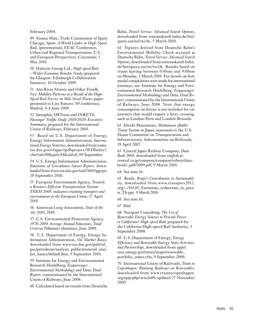February 2004.

49 Susana Mate, Trade Commission of Spain Chicago, *Spain: A World Leader in High-Speed Rail,* (presentation), EEAC Conference, Urban and Regional Transportation: U.S. and European Perspectives, Cincinnati, 5 May 2010.

50 Halcrow Group Ltd., *High-speed Rail – Wider Economic Benefits Study*, prepared for Glasgow: Edinburgh Collaboration Initiative, 16 October 2009.

51 Ana Rivas Alvarez and Oskar Froidh, *New Mobility Patterns as a Result of the High-Speed Rail Service in Mid-Sized Towns*, paper presented to City Futures '09 conference, Madrid, 4-6 June 2009.

52 Intraplan, IMTrans and INRETS, *Passenger Traffic Study 2010/2020: Executive Summary*, prepared for the International Union of Railways, February 2003.

53 Based on U.S. Department of Energy, Energy Information Administration, *International Energy Statistics*, downloaded from tonto. eia.doe.gov/cfapps/ipdbproject/IEDIndex3. cfm?tid=90&pid=44&aid=8, 09 September.

54 U.S. Energy Information Administration, *Emissions of Greenhouse Gasses Report*, downloaded from www.eia.doe.gov/oiaf/1605/ggrpt/, 20 September 2010.

55 European Environment Agency, *Towards a Resource-Efficient Transportation System: TERM 2009: indicators tracking transport and environment in the European Union*, 27 April 2010

56 American Lung Association, *State of the Air 2010*, 2010.

57 U.S. Environmental Protection Agency, *1970-2008 Average Annual Emissions, Total Criteria Pollutants* (database), June 2009.

58 U.S. Department of Energy, Energy Information Administration, *Oil Market Basics,*  downloaded from www.eia.doe.gov/pub/oil\_ gas/petroleum/analysis\_publications/oil\_market\_basics/default.htm, 9 September 2010.

59 Institute for Energy and Environmental Research Heidelberg, *Ecopassenger: Environmental Methodology and Data: Final Report,* commissioned by the International Union of Railways, June 2008.

60 Calculated based on results from Deutsche

Bahn, *Travel Service: Advanced Search Options*, downloaded from reiseauskunft.bahn.de/bin/ query.exe/en?rt=1&, 5 March 2010.

61 Figures derived from Deutsche Bahn's Environmental Mobility Check accessed at Deutsche Bahn, *Travel Service: Advanced Search Options*, downloaded from reiseauskunft.bahn. de/bin/query.exe/en?rt=1&. Results based on trains leaving between 6:00am and 9:00am on Monday, 1 March 2010. For details on how modal comparisons were made for international journeys, see: Institute for Energy and Environmental Research Heidelberg, *Ecopassenger: Environmental Methodology and Data: Final Report,* commissioned by the International Union of Railways, June 2008. Note that energy consumption on ferries is not included for car journeys that would require a ferry crossing, such as London-Paris and London-Brussels.

62 Hiroki Matsumoto, *Shinkansen (Bullet Train) System in Japan*, statement to the U.S. House Committee on Transportation and Infrastructure, Subcommittee on Railroads, 19 April 2007.

63 Central Japan Railway Company, *Data Book 2009*, downloaded from english.jrcentral.co.jp/company/company/others/databook/\_pdf/2009.pdf, 9 March 2010.

64 See note 61.

65 Renfe, *Renfe's Contribution to Sustainability*, downloaded from www.transport2012. org/.../163,05\_Emissions\_reductions\_in\_praxis\_Th.ppt*,* 9 March 2010.

66 See note 61.

67 Ibid.

68 Navigant Consulting, *The Use of Renewable Energy Sources to Provide Power to California's High-speed Rail*, prepared for the California High-speed Rail Authority, 3 September 2008.

69 U.S. Department of Energy, *Energy Efficiency and Renewable Energy State Activities and Partnerships*, downloaded from apps1. eere.energy.gov/states/maps/renewable\_ portfolio\_states.cfm, 9 September 2009.

70 International Union of Railroads, *Train to Copenhagen: Running Railways on Renewables*, downloaded from www.traintocopenhagen. org/spip.php?article89, updated 27 November 2009.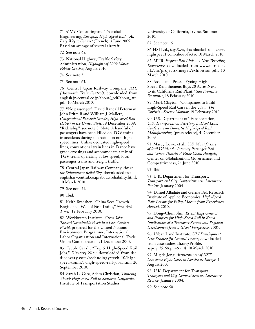71 MVV Consulting and Tractebel Engineering, *European High-Speed Rail – An Easy Way to Connect* (French), 3 June 2009. Based on average of several aircraft.

72 See note 65.

73 National Highway Traffic Safety Administration, *Highlights of 2009 Motor Vehicle Crashes*, August 2010.

74 See note 2.

75 See note 63.

76 Central Japan Railway Company, *ATC (Automatic Train Control),* downloaded from english.jr-central.co.jp/about/\_pdf/about\_atc. pdf, 10 March 2010.

77 "No passenger": David Randall Peterman, John Frittelli and William J. Mallett, *Congressional Research Service, High-speed Rail (HSR) in the United States*, 8 December 2009; "Ridership": see note 8. Note: A handful of passengers have been killed on TGV trains in accidents during operation on non-highspeed lines. Unlike dedicated high-speed lines, conventional train lines in France have grade crossings and accommodate a mix of TGV trains operating at low speed, local passenger trains and freight traffic.

78 Central Japan Railway Company, *About the Shinkansen; Reliability,* downloaded from english.jr-central.co.jp/about/reliability.html, 10 March 2010.

79 See note 21.

80 Ibid.

81 Keith Bradsher, "China Sees Growth Engine in a Web of Fast Trains," *New York Times*, 12 February 2010.

82 Worldwatch Institute, *Green Jobs: Toward Sustainable Work in a Low-Carbon World*, prepared for the United Nations Environment Programme, International Labor Organization and International Trade Union Confederation, 21 December 2007.

83 Jacob Carah, "Top 5 High-Speed Rail Jobs," *Discovery News*, downloaded from dsc. discovery.com/technology/tech-10/highspeed-trains/5-high-speed-rail-jobs.html, 20 September 2010.

84 Sarah L. Catz, Adam Christian, *Thinking Ahead: High-speed Rail in Southern California*, Institute of Transportation Studies,

University of California, Irvine, Summer 2010.

85 See note 16.

86 HS1 Ltd., *Key Facts*, downloaded from www. highspeed1.com/about/facts/, 10 March 2010.

87 MTR, *Express Rail Link – A New Traveling Experience*, downloaded from www.mtr.com. hk/chi/projects/images/exhibition.pdf, 10 March 2010.

88 Associated Press, "Eyeing High-Speed Rail, Siemens Buys 20 Acres Next to its California Rail Plant," *San Francisco Examiner*, 18 February 2010.

89 Mark Clayton, "Companies to Build High-Speed Rail Cars in the U.S.," *The Christian Science Monitor*, 19 February 2010.

90 U.S. Department of Transportation, *U.S. Transportation Secretary LaHood Leads Conference on Domestic High-Speed Rail Manufacturing,* (press release), 4 December 2009.

91 Marcy Lowe, et al., *U.S. Manufacture of Rail Vehicles for Intercity Passenger Rail and Urban Transit: A Value Chain Analysis*, Center on Globalization, Governance, and Competitiveness, 24 June 2010.

92 Ibid.

93 U.K. Department for Transport, *Transport and City Competitiveness: Literature Review*, January 2004.

94 Daniel Albalate and Germa Bel, Research Institute of Applied Economics, *High-Speed Rail: Lessons for Policy-Makers from Experiences Abroad*, 2010.

95 Dong-Chun Shin, *Recent Experience of and Prospects for High-Speed Rail in Korea: Implications of a Transport System and Regional Development from a Global Perspective*, 2005.

96 Urban Land Institute, *ULI Development Case Studies: JR Central Towers*, downloaded from casestudies.uli.org/Profile. aspx?j=7516&p=4&c=4, 10 March 2010.

97 Mig de Jong, *Attractiveness of HST Locations: Eight Cases in Northwest Europe*, 1 August 2007.

98 U.K. Department for Transport, *Transport and City Competitiveness: Literature Review*, January 2004.

99 See note 50.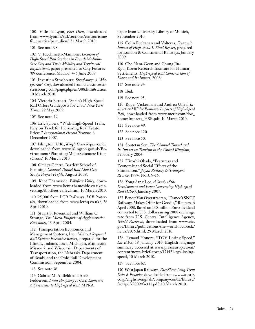100 Ville de Lyon, *Part-Dieu*, downloaded from www.lyon.fr/vdl/sections/en/tourisme/ fil\_quartier/part\_dieu/, 31 March 2010.

101 See note 98.

102 V. Facchinetti-Mannone, *Location of High-Speed Rail Stations in French Medium-Size City and Their Mobility and Territorial Implications*, paper presented to City Futures '09 conference, Madrid, 4-6 June 2009.

103 Investir a Strasbourg, *Strasbourg: A "Magistrale" City*, downloaded from www.investirstrasbourg.com/page.php/en/388.htm#station, 10 March 2010.

104 Victoria Burnett, "Spain's High-Speed Rail Offers Guideposts for U.S.," *New York Times*, 29 May 2009.

105 See note 49.

106 Eric Sylvers, "With High-Speed Train, Italy on Track for Increasing Real Estate Prices," *International Herald Tribune*, 6 December 2007.

107 Islington, U.K., *King's Cross Regeneration*, downloaded from www.islington.gov.uk/Environment/Planning/MajorSchemes/KingsCross/, 10 March 2010.

108 Omega Centre, Bartlett School of Planning, *Channel Tunnel Rail Link Case Study: Project Profile*, August 2008.

109 Kent Thameside, *Ebbsfleet Valley*, downloaded from www.kent-thameside.co.uk/investing/ebbsfleet-valley.html, 10 March 2010.

110 25,000 from LCR Railways, *LCR Properties*, downloaded from www.lcrhq.co.uk/, 26 April 2010.

111 Stuart S. Rosenthal and William C. Strange, *The Micro-Empirics of Agglomeration Economies*, 13 April 2004.

112 Transportation Economics and Management Systems, Inc., *Midwest Regional Rail System: Executive Report,* prepared for the Illinois, Indiana, Iowa, Michigan, Minnesota, Missouri, and Wisconsin Departments of Transportation, the Nebraska Department of Roads, and the Ohio Rail Development Commission, September 2004.

113 See note 38.

114 Gabriel M. Ahlfeldt and Arne Feddersen, *From Periphery to Core: Economic Adjustments to High-speed Rail*, MPRA

paper from University Library of Munich, September 2010.

115 Colin Buchanan and Volterra, *Economic Impact of High-speed 1: Final Report*, prepared for London & Continental Railways, January 2009.

116 Cho Nam-Geon and Chung Jin-Kyu, Korea Research Institute for Human Settlements, *High-speed Rail Construction of Korea and Its Impact*, 2008.

117 See note 94.

118 Ibid.

119 See note 95.

120 Roger Vickerman and Andreu Ulied, *Indirect and Wider Economic Impacts of High-Speed Rail*, downloaded from www.mcrit.com/doc\_ home/Impacts\_HSR.pdf, 10 March 2010.

121 See note 49.

122 See note 120.

123 See note 50.

124 Soutetsu Sen, *The Channel Tunnel and Its Impact on Tourism in the United Kingdom*, February 2004.

125 Hiroshi Okada, "Featuress and Economic and Social Effects of the Shinkansen." *Japan Railway & Transport Review*, 1994: No.3, 9-16.

126 Yong Sang Lee, *A Study of the Development and Issues Concerning High-speed Rail (HSR)*, January 2007.

127 Benoit Van Overstraeten, "France's SNCF Railways Makes Offer for Geodis," Reuters, 6 April 2008. Based on 130 million Euro dividend converted to U.S. dollars using 2008 exchange rate from U.S. Central Intelligence Agency, *World Factbook*, downloaded from www.cia. gov/library/publications/the-world-factbook/ fields/2076.html, 29 March 2010.

128 Renaud Honore, "TGV Losing Speed," *Les Echos*, 18 January 2010, English language summary accessed at www.presseurop.eu/en/ content/news-brief-cover/171421-tgv-losingspeed, 10 March 2010.

129 See note 62.

130 West Japan Railways, *Fact Sheet: Long-Term Debt & Payables*, downloaded from www.westjr. co.jp/english/english/company/con02/library/ fact/pdf/2009/fact11.pdf, 10 March 2010.